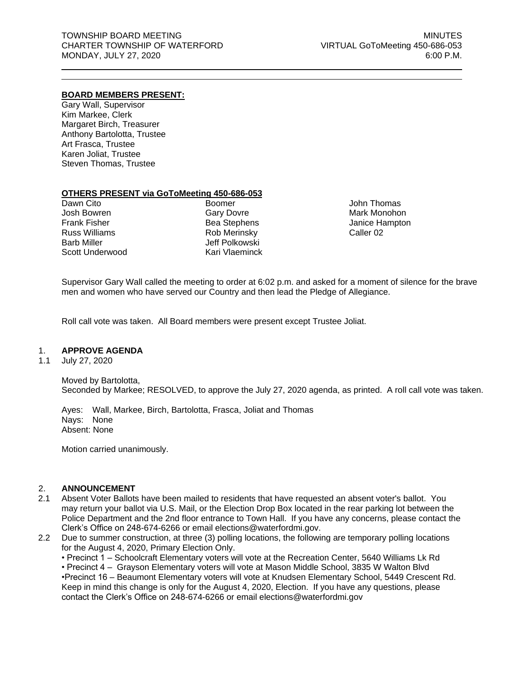## **BOARD MEMBERS PRESENT:**

Gary Wall, Supervisor Kim Markee, Clerk Margaret Birch, Treasurer Anthony Bartolotta, Trustee Art Frasca, Trustee Karen Joliat, Trustee Steven Thomas, Trustee

## **OTHERS PRESENT via GoToMeeting 450-686-053**

Dawn Cito Josh Bowren Frank Fisher Russ Williams Barb Miller Scott Underwood

Boomer Gary Dovre Bea Stephens Rob Merinsky Jeff Polkowski Kari Vlaeminck

John Thomas Mark Monohon Janice Hampton Caller 02

Supervisor Gary Wall called the meeting to order at 6:02 p.m. and asked for a moment of silence for the brave men and women who have served our Country and then lead the Pledge of Allegiance.

Roll call vote was taken. All Board members were present except Trustee Joliat.

## 1. **APPROVE AGENDA**

1.1 July 27, 2020

Moved by Bartolotta, Seconded by Markee; RESOLVED, to approve the July 27, 2020 agenda, as printed. A roll call vote was taken.

Ayes: Wall, Markee, Birch, Bartolotta, Frasca, Joliat and Thomas Nays: None Absent: None

Motion carried unanimously.

## 2. **ANNOUNCEMENT**

- 2.1 Absent Voter Ballots have been mailed to residents that have requested an absent voter's ballot. You may return your ballot via U.S. Mail, or the Election Drop Box located in the rear parking lot between the Police Department and the 2nd floor entrance to Town Hall. If you have any concerns, please contact the Clerk's Office on 248-674-6266 or email [elections@waterfordmi.gov.](mailto:elections@waterfordmi.gov)
- 2.2 Due to summer construction, at three (3) polling locations, the following are temporary polling locations for the August 4, 2020, Primary Election Only.

• Precinct 1 – Schoolcraft Elementary voters will vote at the Recreation Center, 5640 Williams Lk Rd

• Precinct 4 – Grayson Elementary voters will vote at Mason Middle School, 3835 W Walton Blvd

•Precinct 16 – Beaumont Elementary voters will vote at Knudsen Elementary School, 5449 Crescent Rd. Keep in mind this change is only for the August 4, 2020, Election. If you have any questions, please contact the Clerk's Office on 248-674-6266 or email [elections@waterfordmi.gov](mailto:elections@waterfordmi.gov)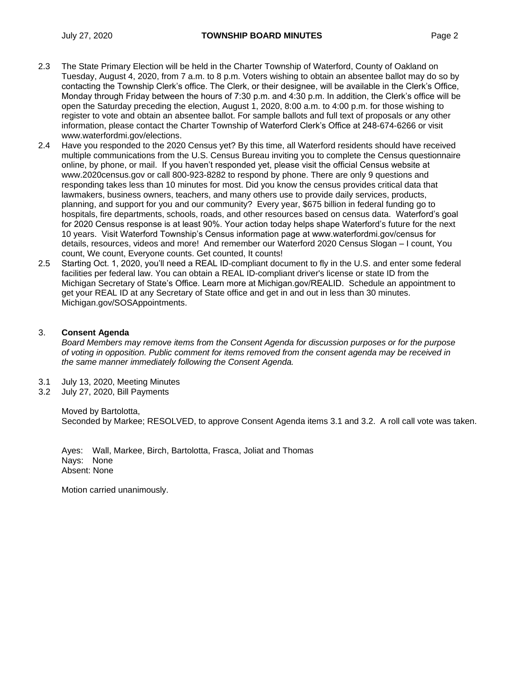- 2.3 The State Primary Election will be held in the Charter Township of Waterford, County of Oakland on Tuesday, August 4, 2020, from 7 a.m. to 8 p.m. Voters wishing to obtain an absentee ballot may do so by contacting the Township Clerk's office. The Clerk, or their designee, will be available in the Clerk's Office, Monday through Friday between the hours of 7:30 p.m. and 4:30 p.m. In addition, the Clerk's office will be open the Saturday preceding the election, August 1, 2020, 8:00 a.m. to 4:00 p.m. for those wishing to register to vote and obtain an absentee ballot. For sample ballots and full text of proposals or any other information, please contact the Charter Township of Waterford Clerk's Office at 248-674-6266 or visit [www.waterfordmi.gov/elections.](http://www.waterfordmi.gov/elections)
- 2.4 Have you responded to the 2020 Census yet? By this time, all Waterford residents should have received multiple communications from the U.S. Census Bureau inviting you to complete the Census questionnaire online, by phone, or mail. If you haven't responded yet, please visit the official Census website at www.2020census.gov or call 800-923-8282 to respond by phone. There are only 9 questions and responding takes less than 10 minutes for most. Did you know the census provides critical data that lawmakers, business owners, teachers, and many others use to provide daily services, products, planning, and support for you and our community? Every year, \$675 billion in federal funding go to hospitals, fire departments, schools, roads, and other resources based on census data. Waterford's goal for 2020 Census response is at least 90%. Your action today helps shape Waterford's future for the next 10 years. Visit Waterford Township's Census information page at www.waterfordmi.gov/census for details, resources, videos and more! And remember our Waterford 2020 Census Slogan – I count, You count, We count, Everyone counts. Get counted, It counts!
- 2.5 Starting Oct. 1, 2020, you'll need a REAL ID-compliant document to fly in the U.S. and enter some federal facilities per federal law. You can obtain a REAL ID-compliant driver's license or state ID from the Michigan Secretary of State's Office. Learn more at Michigan.gov/REALID. Schedule an appointment to get your REAL ID at any Secretary of State office and get in and out in less than 30 minutes. Michigan.gov/SOSAppointments.

## 3. **Consent Agenda**

*Board Members may remove items from the Consent Agenda for discussion purposes or for the purpose of voting in opposition. Public comment for items removed from the consent agenda may be received in the same manner immediately following the Consent Agenda.*

- 3.1 July 13, 2020, Meeting Minutes
- 3.2 July 27, 2020, Bill Payments

Moved by Bartolotta, Seconded by Markee; RESOLVED, to approve Consent Agenda items 3.1 and 3.2. A roll call vote was taken.

Ayes: Wall, Markee, Birch, Bartolotta, Frasca, Joliat and Thomas Nays: None Absent: None

Motion carried unanimously.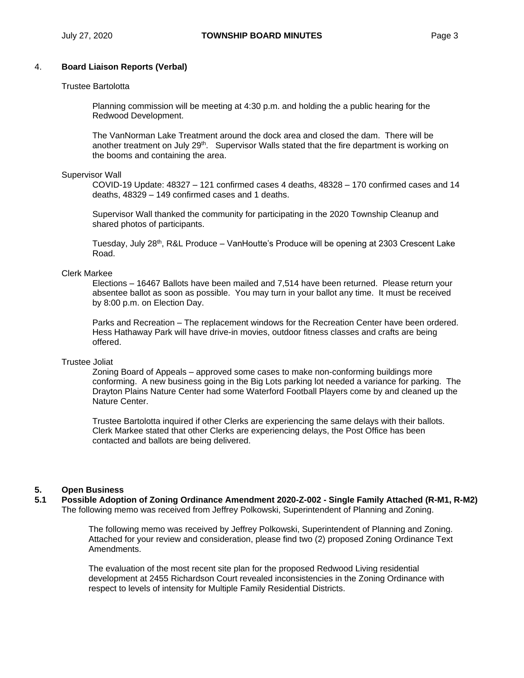# 4. **Board Liaison Reports (Verbal)**

#### Trustee Bartolotta

Planning commission will be meeting at 4:30 p.m. and holding the a public hearing for the Redwood Development.

The VanNorman Lake Treatment around the dock area and closed the dam. There will be another treatment on July 29<sup>th</sup>. Supervisor Walls stated that the fire department is working on the booms and containing the area.

#### Supervisor Wall

COVID-19 Update: 48327 – 121 confirmed cases 4 deaths, 48328 – 170 confirmed cases and 14 deaths, 48329 – 149 confirmed cases and 1 deaths.

Supervisor Wall thanked the community for participating in the 2020 Township Cleanup and shared photos of participants.

Tuesday, July 28<sup>th</sup>, R&L Produce – VanHoutte's Produce will be opening at 2303 Crescent Lake Road.

## Clerk Markee

Elections – 16467 Ballots have been mailed and 7,514 have been returned. Please return your absentee ballot as soon as possible. You may turn in your ballot any time. It must be received by 8:00 p.m. on Election Day.

Parks and Recreation – The replacement windows for the Recreation Center have been ordered. Hess Hathaway Park will have drive-in movies, outdoor fitness classes and crafts are being offered.

#### Trustee Joliat

Zoning Board of Appeals – approved some cases to make non-conforming buildings more conforming. A new business going in the Big Lots parking lot needed a variance for parking. The Drayton Plains Nature Center had some Waterford Football Players come by and cleaned up the Nature Center.

Trustee Bartolotta inquired if other Clerks are experiencing the same delays with their ballots. Clerk Markee stated that other Clerks are experiencing delays, the Post Office has been contacted and ballots are being delivered.

## **5. Open Business**

**5.1 Possible Adoption of Zoning Ordinance Amendment 2020-Z-002 - Single Family Attached (R-M1, R-M2)** The following memo was received from Jeffrey Polkowski, Superintendent of Planning and Zoning.

> The following memo was received by Jeffrey Polkowski, Superintendent of Planning and Zoning. Attached for your review and consideration, please find two (2) proposed Zoning Ordinance Text Amendments.

The evaluation of the most recent site plan for the proposed Redwood Living residential development at 2455 Richardson Court revealed inconsistencies in the Zoning Ordinance with respect to levels of intensity for Multiple Family Residential Districts.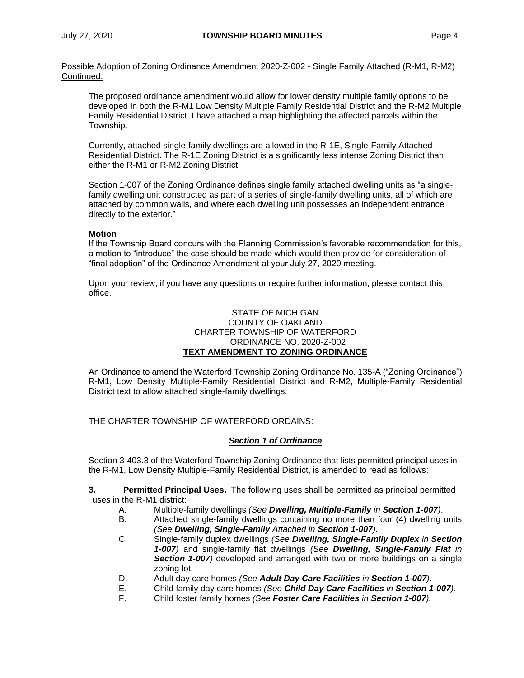Possible Adoption of Zoning Ordinance Amendment 2020-Z-002 - Single Family Attached (R-M1, R-M2) Continued.

The proposed ordinance amendment would allow for lower density multiple family options to be developed in both the R-M1 Low Density Multiple Family Residential District and the R-M2 Multiple Family Residential District. I have attached a map highlighting the affected parcels within the Township.

Currently, attached single-family dwellings are allowed in the R-1E, Single-Family Attached Residential District. The R-1E Zoning District is a significantly less intense Zoning District than either the R-M1 or R-M2 Zoning District.

Section 1-007 of the Zoning Ordinance defines single family attached dwelling units as "a singlefamily dwelling unit constructed as part of a series of single-family dwelling units, all of which are attached by common walls, and where each dwelling unit possesses an independent entrance directly to the exterior."

## **Motion**

If the Township Board concurs with the Planning Commission's favorable recommendation for this, a motion to "introduce" the case should be made which would then provide for consideration of "final adoption" of the Ordinance Amendment at your July 27, 2020 meeting.

Upon your review, if you have any questions or require further information, please contact this office.

## STATE OF MICHIGAN COUNTY OF OAKLAND CHARTER TOWNSHIP OF WATERFORD ORDINANCE NO. 2020-Z-002 **TEXT AMENDMENT TO ZONING ORDINANCE**

An Ordinance to amend the Waterford Township Zoning Ordinance No. 135-A ("Zoning Ordinance") R-M1, Low Density Multiple-Family Residential District and R-M2, Multiple-Family Residential District text to allow attached single-family dwellings.

THE CHARTER TOWNSHIP OF WATERFORD ORDAINS:

## *Section 1 of Ordinance*

Section 3-403.3 of the Waterford Township Zoning Ordinance that lists permitted principal uses in the R-M1, Low Density Multiple-Family Residential District, is amended to read as follows:

**3. Permitted Principal Uses.** The following uses shall be permitted as principal permitted uses in the R-M1 district:

- A. Multiple-family dwellings *(See Dwelling, Multiple-Family in Section 1-007)*.
- B. Attached single-family dwellings containing no more than four (4) dwelling units *(See Dwelling, Single-Family Attached in Section 1-007).*
- C. Single-family duplex dwellings *(See Dwelling, Single-Family Duplex in Section 1-007)* and single-family flat dwellings *(See Dwelling, Single-Family Flat in Section 1-007)* developed and arranged with two or more buildings on a single zoning lot.
- D. Adult day care homes *(See Adult Day Care Facilities in Section 1-007)*.
- E. Child family day care homes *(See Child Day Care Facilities in Section 1-007).*
- F. Child foster family homes *(See Foster Care Facilities in Section 1-007).*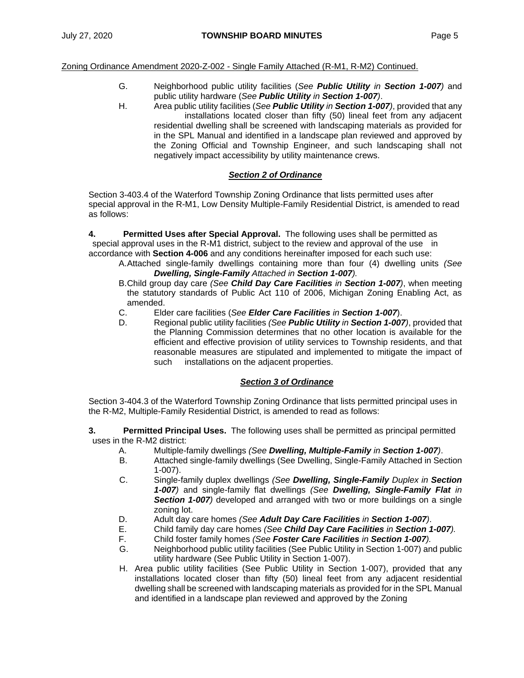Zoning Ordinance Amendment 2020-Z-002 - Single Family Attached (R-M1, R-M2) Continued.

- G. Neighborhood public utility facilities (*See Public Utility in Section 1-007)* and public utility hardware (*See Public Utility in Section 1-007)*.
- H. Area public utility facilities (*See Public Utility in Section 1-007)*, provided that any installations located closer than fifty (50) lineal feet from any adjacent residential dwelling shall be screened with landscaping materials as provided for in the SPL Manual and identified in a landscape plan reviewed and approved by the Zoning Official and Township Engineer, and such landscaping shall not negatively impact accessibility by utility maintenance crews.

## *Section 2 of Ordinance*

Section 3-403.4 of the Waterford Township Zoning Ordinance that lists permitted uses after special approval in the R-M1, Low Density Multiple-Family Residential District, is amended to read as follows:

**4. Permitted Uses after Special Approval.** The following uses shall be permitted as special approval uses in the R-M1 district, subject to the review and approval of the use in accordance with **Section 4-006** and any conditions hereinafter imposed for each such use:

- A.Attached single-family dwellings containing more than four (4) dwelling units *(See Dwelling, Single-Family Attached in Section 1-007).* 
	- B.Child group day care *(See Child Day Care Facilities in Section 1-007)*, when meeting the statutory standards of Public Act 110 of 2006, Michigan Zoning Enabling Act, as amended.
	- C. Elder care facilities (*See Elder Care Facilities in Section 1-007*).
	- D. Regional public utility facilities *(See Public Utility in Section 1-007)*, provided that the Planning Commission determines that no other location is available for the efficient and effective provision of utility services to Township residents, and that reasonable measures are stipulated and implemented to mitigate the impact of such installations on the adjacent properties.

## *Section 3 of Ordinance*

Section 3-404.3 of the Waterford Township Zoning Ordinance that lists permitted principal uses in the R-M2, Multiple-Family Residential District, is amended to read as follows:

- **3. Permitted Principal Uses.** The following uses shall be permitted as principal permitted uses in the R-M2 district:
	- A. Multiple-family dwellings *(See Dwelling, Multiple-Family in Section 1-007)*.
	- B. Attached single-family dwellings (See Dwelling, Single-Family Attached in Section 1-007).
	- C. Single-family duplex dwellings *(See Dwelling, Single-Family Duplex in Section 1-007)* and single-family flat dwellings *(See Dwelling, Single-Family Flat in Section 1-007)* developed and arranged with two or more buildings on a single zoning lot.
	- D. Adult day care homes *(See Adult Day Care Facilities in Section 1-007)*.
	- E. Child family day care homes *(See Child Day Care Facilities in Section 1-007).*
	- F. Child foster family homes *(See Foster Care Facilities in Section 1-007).*
	- G. Neighborhood public utility facilities (See Public Utility in Section 1-007) and public utility hardware (See Public Utility in Section 1-007).
	- H. Area public utility facilities (See Public Utility in Section 1-007), provided that any installations located closer than fifty (50) lineal feet from any adjacent residential dwelling shall be screened with landscaping materials as provided for in the SPL Manual and identified in a landscape plan reviewed and approved by the Zoning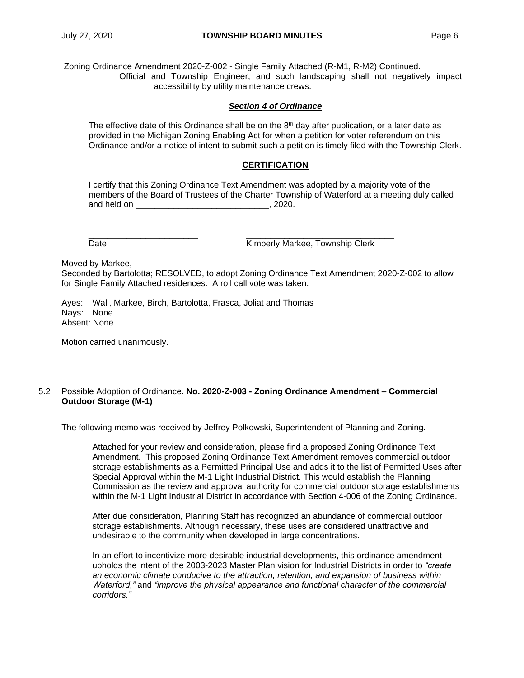Zoning Ordinance Amendment 2020-Z-002 - Single Family Attached (R-M1, R-M2) Continued.

Official and Township Engineer, and such landscaping shall not negatively impact accessibility by utility maintenance crews.

## *Section 4 of Ordinance*

The effective date of this Ordinance shall be on the  $8<sup>th</sup>$  day after publication, or a later date as provided in the Michigan Zoning Enabling Act for when a petition for voter referendum on this Ordinance and/or a notice of intent to submit such a petition is timely filed with the Township Clerk.

# **CERTIFICATION**

I certify that this Zoning Ordinance Text Amendment was adopted by a majority vote of the members of the Board of Trustees of the Charter Township of Waterford at a meeting duly called and held on  $\sim$  , 2020.

\_\_\_\_\_\_\_\_\_\_\_\_\_\_\_\_\_\_\_\_\_\_\_ \_\_\_\_\_\_\_\_\_\_\_\_\_\_\_\_\_\_\_\_\_\_\_\_\_\_\_\_\_\_\_ Date **Date Contract Contract Contract Contract Contract Contract Contract Contract Contract Contract Contract Contract Contract Contract Contract Contract Contract Contract Contract Contract Contract Contract Contract Co** 

Moved by Markee,

Seconded by Bartolotta; RESOLVED, to adopt Zoning Ordinance Text Amendment 2020-Z-002 to allow for Single Family Attached residences. A roll call vote was taken.

Ayes: Wall, Markee, Birch, Bartolotta, Frasca, Joliat and Thomas Nays: None Absent: None

Motion carried unanimously.

## 5.2 Possible Adoption of Ordinance**. No. 2020-Z-003 - Zoning Ordinance Amendment – Commercial Outdoor Storage (M-1)**

The following memo was received by Jeffrey Polkowski, Superintendent of Planning and Zoning.

Attached for your review and consideration, please find a proposed Zoning Ordinance Text Amendment. This proposed Zoning Ordinance Text Amendment removes commercial outdoor storage establishments as a Permitted Principal Use and adds it to the list of Permitted Uses after Special Approval within the M-1 Light Industrial District. This would establish the Planning Commission as the review and approval authority for commercial outdoor storage establishments within the M-1 Light Industrial District in accordance with Section 4-006 of the Zoning Ordinance.

After due consideration, Planning Staff has recognized an abundance of commercial outdoor storage establishments. Although necessary, these uses are considered unattractive and undesirable to the community when developed in large concentrations.

In an effort to incentivize more desirable industrial developments, this ordinance amendment upholds the intent of the 2003-2023 Master Plan vision for Industrial Districts in order to *"create an economic climate conducive to the attraction, retention, and expansion of business within Waterford,"* and *"improve the physical appearance and functional character of the commercial corridors."*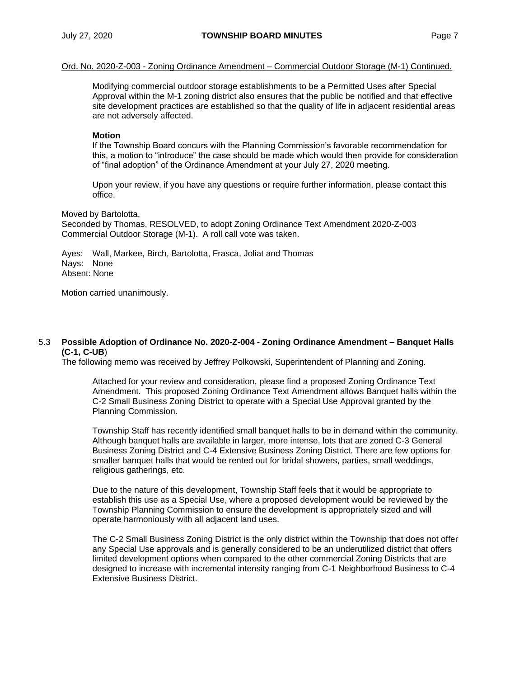Ord. No. 2020-Z-003 - Zoning Ordinance Amendment – Commercial Outdoor Storage (M-1) Continued.

Modifying commercial outdoor storage establishments to be a Permitted Uses after Special Approval within the M-1 zoning district also ensures that the public be notified and that effective site development practices are established so that the quality of life in adjacent residential areas are not adversely affected.

#### **Motion**

If the Township Board concurs with the Planning Commission's favorable recommendation for this, a motion to "introduce" the case should be made which would then provide for consideration of "final adoption" of the Ordinance Amendment at your July 27, 2020 meeting.

Upon your review, if you have any questions or require further information, please contact this office.

Moved by Bartolotta,

Seconded by Thomas, RESOLVED, to adopt Zoning Ordinance Text Amendment 2020-Z-003 Commercial Outdoor Storage (M-1). A roll call vote was taken.

Ayes: Wall, Markee, Birch, Bartolotta, Frasca, Joliat and Thomas Nays: None Absent: None

Motion carried unanimously.

#### 5.3 **Possible Adoption of Ordinance No. 2020-Z-004 - Zoning Ordinance Amendment – Banquet Halls (C-1, C-UB**)

The following memo was received by Jeffrey Polkowski, Superintendent of Planning and Zoning.

Attached for your review and consideration, please find a proposed Zoning Ordinance Text Amendment. This proposed Zoning Ordinance Text Amendment allows Banquet halls within the C-2 Small Business Zoning District to operate with a Special Use Approval granted by the Planning Commission.

Township Staff has recently identified small banquet halls to be in demand within the community. Although banquet halls are available in larger, more intense, lots that are zoned C-3 General Business Zoning District and C-4 Extensive Business Zoning District. There are few options for smaller banquet halls that would be rented out for bridal showers, parties, small weddings, religious gatherings, etc.

Due to the nature of this development, Township Staff feels that it would be appropriate to establish this use as a Special Use, where a proposed development would be reviewed by the Township Planning Commission to ensure the development is appropriately sized and will operate harmoniously with all adjacent land uses.

The C-2 Small Business Zoning District is the only district within the Township that does not offer any Special Use approvals and is generally considered to be an underutilized district that offers limited development options when compared to the other commercial Zoning Districts that are designed to increase with incremental intensity ranging from C-1 Neighborhood Business to C-4 Extensive Business District.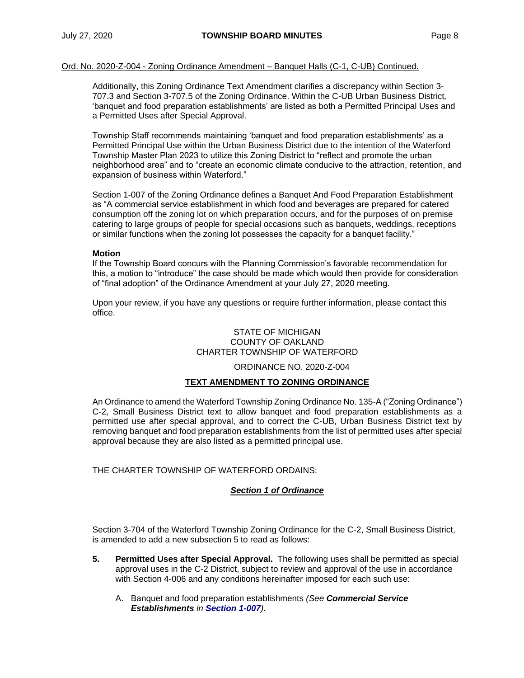## Ord. No. 2020-Z-004 - Zoning Ordinance Amendment – Banquet Halls (C-1, C-UB) Continued.

Additionally, this Zoning Ordinance Text Amendment clarifies a discrepancy within Section 3- 707.3 and Section 3-707.5 of the Zoning Ordinance. Within the C-UB Urban Business District*,* 'banquet and food preparation establishments' are listed as both a Permitted Principal Uses and a Permitted Uses after Special Approval.

Township Staff recommends maintaining 'banquet and food preparation establishments' as a Permitted Principal Use within the Urban Business District due to the intention of the Waterford Township Master Plan 2023 to utilize this Zoning District to "reflect and promote the urban neighborhood area" and to "create an economic climate conducive to the attraction, retention, and expansion of business within Waterford."

Section 1-007 of the Zoning Ordinance defines a Banquet And Food Preparation Establishment as "A commercial service establishment in which food and beverages are prepared for catered consumption off the zoning lot on which preparation occurs, and for the purposes of on premise catering to large groups of people for special occasions such as banquets, weddings, receptions or similar functions when the zoning lot possesses the capacity for a banquet facility."

## **Motion**

If the Township Board concurs with the Planning Commission's favorable recommendation for this, a motion to "introduce" the case should be made which would then provide for consideration of "final adoption" of the Ordinance Amendment at your July 27, 2020 meeting.

Upon your review, if you have any questions or require further information, please contact this office.

## STATE OF MICHIGAN COUNTY OF OAKLAND CHARTER TOWNSHIP OF WATERFORD

## ORDINANCE NO. 2020-Z-004

## **TEXT AMENDMENT TO ZONING ORDINANCE**

An Ordinance to amend the Waterford Township Zoning Ordinance No. 135-A ("Zoning Ordinance") C-2, Small Business District text to allow banquet and food preparation establishments as a permitted use after special approval, and to correct the C-UB, Urban Business District text by removing banquet and food preparation establishments from the list of permitted uses after special approval because they are also listed as a permitted principal use.

THE CHARTER TOWNSHIP OF WATERFORD ORDAINS:

## *Section 1 of Ordinance*

Section 3-704 of the Waterford Township Zoning Ordinance for the C-2, Small Business District, is amended to add a new subsection 5 to read as follows:

- **5. Permitted Uses after Special Approval.** The following uses shall be permitted as special approval uses in the C-2 District, subject to review and approval of the use in accordance with Section 4-006 and any conditions hereinafter imposed for each such use:
	- A. Banquet and food preparation establishments *(See Commercial Service Establishments in Section 1-007).*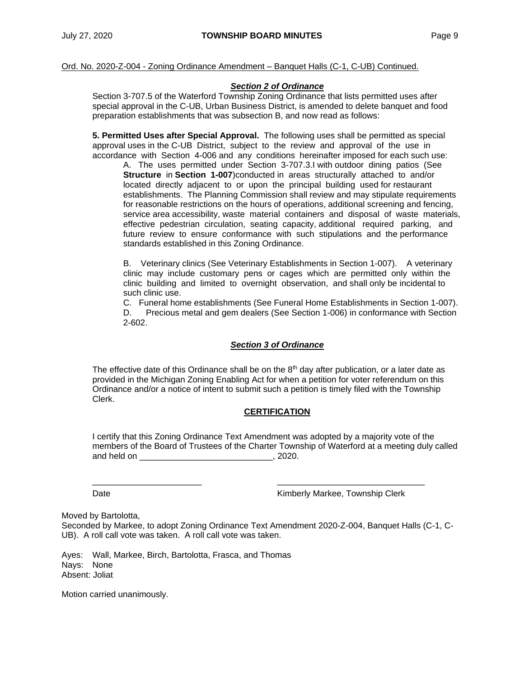## Ord. No. 2020-Z-004 - Zoning Ordinance Amendment – Banquet Halls (C-1, C-UB) Continued.

## *Section 2 of Ordinance*

Section 3-707.5 of the Waterford Township Zoning Ordinance that lists permitted uses after special approval in the C-UB, Urban Business District, is amended to delete banquet and food preparation establishments that was subsection B, and now read as follows:

**5. Permitted Uses after Special Approval.** The following uses shall be permitted as special approval uses in the C-UB District, subject to the review and approval of the use in accordance with Section 4-006 and any conditions hereinafter imposed for each such use:

A. The uses permitted under Section 3-707.3.I with outdoor dining patios (See **Structure** in **Section 1-007**)conducted in areas structurally attached to and/or located directly adjacent to or upon the principal building used for restaurant establishments. The Planning Commission shall review and may stipulate requirements for reasonable restrictions on the hours of operations, additional screening and fencing, service area accessibility, waste material containers and disposal of waste materials, effective pedestrian circulation, seating capacity, additional required parking, and future review to ensure conformance with such stipulations and the performance standards established in this Zoning Ordinance.

B. Veterinary clinics (See Veterinary Establishments in Section 1-007). A veterinary clinic may include customary pens or cages which are permitted only within the clinic building and limited to overnight observation, and shall only be incidental to such clinic use.

C. Funeral home establishments (See Funeral Home Establishments in Section 1-007). D. Precious metal and gem dealers (See Section 1-006) in conformance with Section 2-602.

## *Section 3 of Ordinance*

The effective date of this Ordinance shall be on the  $8<sup>th</sup>$  day after publication, or a later date as provided in the Michigan Zoning Enabling Act for when a petition for voter referendum on this Ordinance and/or a notice of intent to submit such a petition is timely filed with the Township Clerk.

## **CERTIFICATION**

I certify that this Zoning Ordinance Text Amendment was adopted by a majority vote of the members of the Board of Trustees of the Charter Township of Waterford at a meeting duly called and held on  $\sim$  0.2020.

Date **National Contract Contract Contract Contract Contract Contract Contract Contract Contract Contract Contract Contract Contract Contract Contract Contract Contract Contract Contract Contract Contract Contract Contract** 

Moved by Bartolotta,

Seconded by Markee, to adopt Zoning Ordinance Text Amendment 2020-Z-004, Banquet Halls (C-1, C-UB). A roll call vote was taken. A roll call vote was taken.

\_\_\_\_\_\_\_\_\_\_\_\_\_\_\_\_\_\_\_\_\_\_\_ \_\_\_\_\_\_\_\_\_\_\_\_\_\_\_\_\_\_\_\_\_\_\_\_\_\_\_\_\_\_\_

Ayes: Wall, Markee, Birch, Bartolotta, Frasca, and Thomas Nays: None Absent: Joliat

Motion carried unanimously.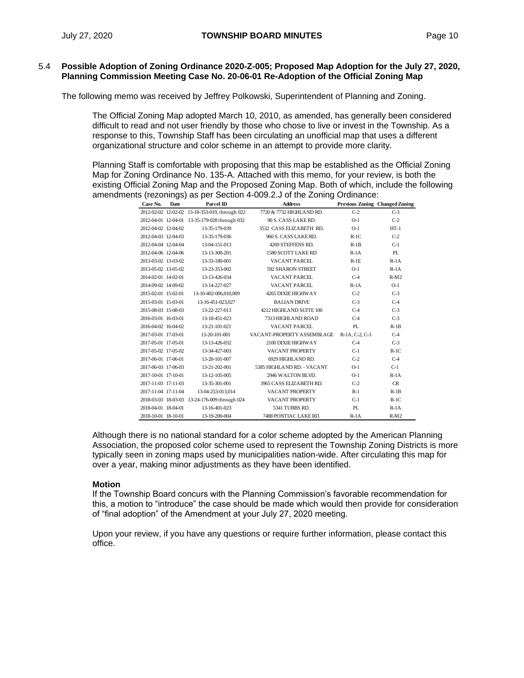## 5.4 **Possible Adoption of Zoning Ordinance 2020-Z-005; Proposed Map Adoption for the July 27, 2020, Planning Commission Meeting Case No. 20-06-01 Re-Adoption of the Official Zoning Map**

The following memo was received by Jeffrey Polkowski, Superintendent of Planning and Zoning.

The Official Zoning Map adopted March 10, 2010, as amended, has generally been considered difficult to read and not user friendly by those who chose to live or invest in the Township. As a response to this, Township Staff has been circulating an unofficial map that uses a different organizational structure and color scheme in an attempt to provide more clarity.

Planning Staff is comfortable with proposing that this map be established as the Official Zoning Map for Zoning Ordinance No. 135-A. Attached with this memo, for your review, is both the existing Official Zoning Map and the Proposed Zoning Map. Both of which, include the following amendments (rezonings) as per Section 4-009.2.J of the Zoning Ordinance:

| Case No.            | Date | Parcel ID                                      | <b>Address</b>             |                | <b>Previous Zoning Changed Zoning</b> |
|---------------------|------|------------------------------------------------|----------------------------|----------------|---------------------------------------|
|                     |      | 2012-02-02 12-02-02 13-18-353-019, through 022 | 7720 & 7732 HIGHI AND RD.  | $C-2$          | $C-3$                                 |
|                     |      | 2012-04-01 12-04-01 13-35-179-028 through 032  | 90 S. CASS LAKERD.         | $O-1$          | $C-2$                                 |
| 2012-04-02 12-04-02 |      | 13-35-179-039                                  | 3532 CASS ELIZABETH RD.    | $O-1$          | $HT-1$                                |
| 2012-04-03 12-04-03 |      | 13-35-179-036                                  | 960 S. CASS LAKE RD.       | $R-1C$         | $C-2$                                 |
| 2012-04-04 12-04-04 |      | 13-04-151-013                                  | 4269 STEFFENS RD.          | $R-1B$         | $C-1$                                 |
| 2012-04-06 12-04-06 |      | 13-13-300-201                                  | 1580 SCOTT LAKE RD         | $R-1A$         | PI.                                   |
| 2013-03-02 13-03-02 |      | 13-33-180-001                                  | VACANT PARCEL              | $R-1E$         | $R-1A$                                |
| 2013-05-02 13-05-02 |      | 13-23-353-002                                  | 592 SHARON STREET          | $O-1$          | $R-1A$                                |
| 2014-02-01 14-02-01 |      | 13-13-426-034                                  | VACANT PARCEL              | $C-4$          | $R-M2$                                |
| 2014-09-02 14-09-02 |      | 13-14-227-027                                  | VACANT PARCEL              | $R-1A$         | $O-1$                                 |
| 2015-02-01 15-02-01 |      | 13-10-402-006.010.009                          | 4265 DIXIE HIGHWAY         | $C-2$          | $C-3$                                 |
| 2015-03-01 15-03-01 |      | 13-16-451-023.027                              | <b>BALIAN DRIVE</b>        | $C-3$          | $C-4$                                 |
| 2015-08-03 15-08-03 |      | 13-22-227-013                                  | 4212 HIGHLAND SUITE 100    | $C-4$          | $C-3$                                 |
| 2016-03-01 16-03-01 |      | 13-18-451-023                                  | 7313 HIGHLAND ROAD         | $C-4$          | $C-3$                                 |
| 2016-04-02 16-04-02 |      | 13-21-101-021                                  | VACANT PARCEL              | PI.            | $R-1B$                                |
| 2017-03-01 17-03-01 |      | 13-20-101-001                                  | VACANT-PROPERTY ASSEMBLAGE | R-1A, C-2, C-3 | $C-4$                                 |
| 2017-05-01 17-05-01 |      | 13-13-426-032                                  | 2100 DIXIE HIGHWAY         | $C-4$          | $C-3$                                 |
| 2017-05-02 17-05-02 |      | 13-34-427-003                                  | VACANT PROPERTY            | $C-1$          | $R-1C$                                |
| 2017-06-01 17-06-01 |      | 13-20-101-007                                  | 6929 HIGHLAND RD.          | $C-2$          | $C-4$                                 |
| 2017-06-03 17-06-03 |      | 13-21-202-001                                  | 5385 HIGHLAND RD. - VACANT | $O-1$          | $C-1$                                 |
| 2017-10-01 17-10-01 |      | 13-12-105-005                                  | 2946 WALTON BLVD.          | $O-1$          | $R-1A$                                |
| 2017-11-03 17-11-03 |      | 13-35-301-001                                  | 3965 CASS ELIZABETH RD.    | $C-2$          | CR                                    |
| 2017-11-04 17-11-04 |      | 13-04-253-013,014                              | VACANT PROPERTY            | $R-1$          | $R-1B$                                |
|                     |      | 2018-03-03 18-03-03 13-24-176-009 through 024  | VACANT PROPERTY            | $C-1$          | $R-1C$                                |
| 2018-04-01 18-04-01 |      | 13-16-401-023                                  | 5341 TUBBS RD.             | PI.            | $R-1A$                                |
| 2018-10-01 18-10-01 |      | 13-19-200-004                                  | 7488 PONTIAC LAKE RD.      | $R-1A$         | $R-M2$                                |

Although there is no national standard for a color scheme adopted by the American Planning Association, the proposed color scheme used to represent the Township Zoning Districts is more typically seen in zoning maps used by municipalities nation-wide. After circulating this map for over a year, making minor adjustments as they have been identified.

## **Motion**

If the Township Board concurs with the Planning Commission's favorable recommendation for this, a motion to "introduce" the case should be made which would then provide for consideration of "final adoption" of the Amendment at your July 27, 2020 meeting.

Upon your review, if you have any questions or require further information, please contact this office.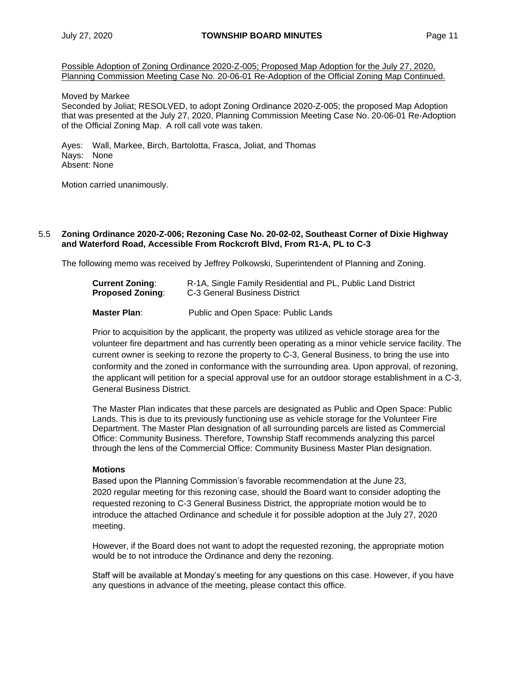Possible Adoption of Zoning Ordinance 2020-Z-005; Proposed Map Adoption for the July 27, 2020, Planning Commission Meeting Case No. 20-06-01 Re-Adoption of the Official Zoning Map Continued.

#### Moved by Markee

Seconded by Joliat; RESOLVED, to adopt Zoning Ordinance 2020-Z-005; the proposed Map Adoption that was presented at the July 27, 2020, Planning Commission Meeting Case No. 20-06-01 Re-Adoption of the Official Zoning Map. A roll call vote was taken.

Ayes: Wall, Markee, Birch, Bartolotta, Frasca, Joliat, and Thomas Nays: None Absent: None

Motion carried unanimously.

#### 5.5 **Zoning Ordinance 2020-Z-006; Rezoning Case No. 20-02-02, Southeast Corner of Dixie Highway and Waterford Road, Accessible From Rockcroft Blvd, From R1-A, PL to C-3**

The following memo was received by Jeffrey Polkowski, Superintendent of Planning and Zoning.

| <b>Current Zoning:</b>  | R-1A, Single Family Residential and PL, Public Land District |
|-------------------------|--------------------------------------------------------------|
| <b>Proposed Zoning:</b> | C-3 General Business District                                |

**Master Plan**: Public and Open Space: Public Lands

Prior to acquisition by the applicant, the property was utilized as vehicle storage area for the volunteer fire department and has currently been operating as a minor vehicle service facility. The current owner is seeking to rezone the property to C-3, General Business, to bring the use into conformity and the zoned in conformance with the surrounding area. Upon approval, of rezoning, the applicant will petition for a special approval use for an outdoor storage establishment in a C-3, General Business District.

The Master Plan indicates that these parcels are designated as Public and Open Space: Public Lands. This is due to its previously functioning use as vehicle storage for the Volunteer Fire Department. The Master Plan designation of all surrounding parcels are listed as Commercial Office: Community Business. Therefore, Township Staff recommends analyzing this parcel through the lens of the Commercial Office: Community Business Master Plan designation.

## **Motions**

Based upon the Planning Commission's favorable recommendation at the June 23, 2020 regular meeting for this rezoning case, should the Board want to consider adopting the requested rezoning to C-3 General Business District, the appropriate motion would be to introduce the attached Ordinance and schedule it for possible adoption at the July 27, 2020 meeting.

However, if the Board does not want to adopt the requested rezoning, the appropriate motion would be to not introduce the Ordinance and deny the rezoning.

Staff will be available at Monday's meeting for any questions on this case. However, if you have any questions in advance of the meeting, please contact this office.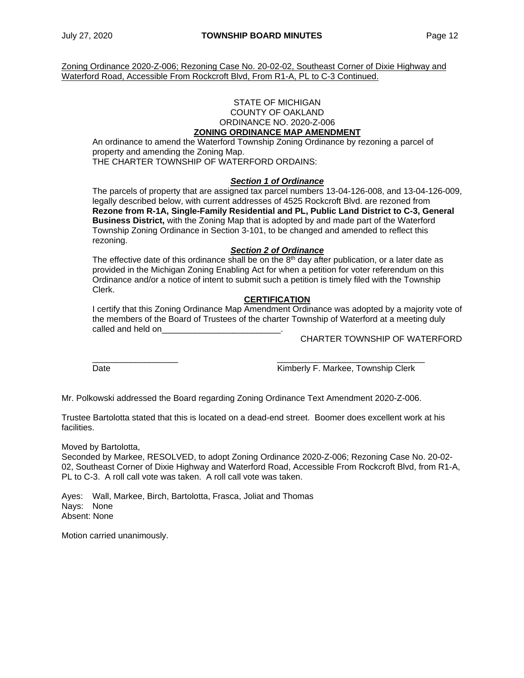Zoning Ordinance 2020-Z-006; Rezoning Case No. 20-02-02, Southeast Corner of Dixie Highway and Waterford Road, Accessible From Rockcroft Blvd, From R1-A, PL to C-3 Continued.

#### STATE OF MICHIGAN COUNTY OF OAKLAND ORDINANCE NO. 2020-Z-006 **ZONING ORDINANCE MAP AMENDMENT**

An ordinance to amend the Waterford Township Zoning Ordinance by rezoning a parcel of property and amending the Zoning Map. THE CHARTER TOWNSHIP OF WATERFORD ORDAINS:

# *Section 1 of Ordinance*

The parcels of property that are assigned tax parcel numbers 13-04-126-008, and 13-04-126-009, legally described below, with current addresses of 4525 Rockcroft Blvd. are rezoned from **Rezone from R-1A, Single-Family Residential and PL, Public Land District to C-3, General Business District,** with the Zoning Map that is adopted by and made part of the Waterford Township Zoning Ordinance in Section 3-101, to be changed and amended to reflect this rezoning.

## *Section 2 of Ordinance*

The effective date of this ordinance shall be on the  $8<sup>th</sup>$  day after publication, or a later date as provided in the Michigan Zoning Enabling Act for when a petition for voter referendum on this Ordinance and/or a notice of intent to submit such a petition is timely filed with the Township Clerk.

## **CERTIFICATION**

I certify that this Zoning Ordinance Map Amendment Ordinance was adopted by a majority vote of the members of the Board of Trustees of the charter Township of Waterford at a meeting duly called and held on

CHARTER TOWNSHIP OF WATERFORD

\_\_\_\_\_\_\_\_\_\_\_\_\_\_\_\_\_\_ \_\_\_\_\_\_\_\_\_\_\_\_\_\_\_\_\_\_\_\_\_\_\_\_\_\_\_\_\_\_\_ Date **Contract Contract Contract Contract Contract Contract Contract Contract Contract Contract Contract Contract Contract Contract Contract Contract Contract Contract Contract Contract Contract Contract Contract Contract** 

Mr. Polkowski addressed the Board regarding Zoning Ordinance Text Amendment 2020-Z-006.

Trustee Bartolotta stated that this is located on a dead-end street. Boomer does excellent work at his facilities.

Moved by Bartolotta,

Seconded by Markee, RESOLVED, to adopt Zoning Ordinance 2020-Z-006; Rezoning Case No. 20-02- 02, Southeast Corner of Dixie Highway and Waterford Road, Accessible From Rockcroft Blvd, from R1-A, PL to C-3. A roll call vote was taken. A roll call vote was taken.

Ayes: Wall, Markee, Birch, Bartolotta, Frasca, Joliat and Thomas Nays: None Absent: None

Motion carried unanimously.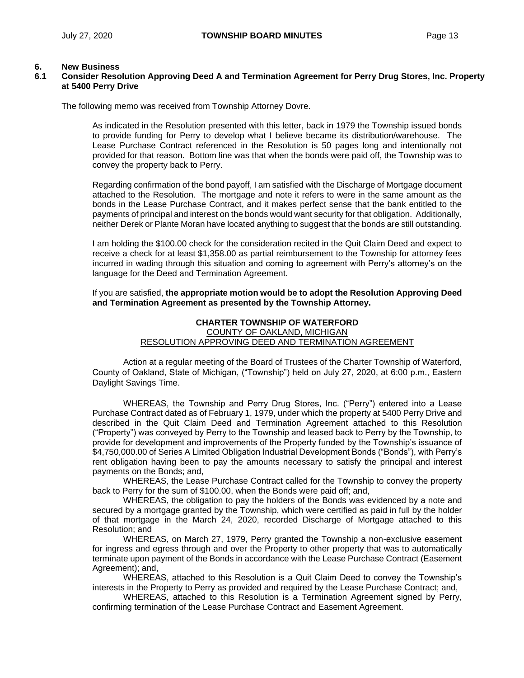## **6. New Business**

## **6.1 Consider Resolution Approving Deed A and Termination Agreement for Perry Drug Stores, Inc. Property at 5400 Perry Drive**

The following memo was received from Township Attorney Dovre.

As indicated in the Resolution presented with this letter, back in 1979 the Township issued bonds to provide funding for Perry to develop what I believe became its distribution/warehouse. The Lease Purchase Contract referenced in the Resolution is 50 pages long and intentionally not provided for that reason. Bottom line was that when the bonds were paid off, the Township was to convey the property back to Perry.

Regarding confirmation of the bond payoff, I am satisfied with the Discharge of Mortgage document attached to the Resolution. The mortgage and note it refers to were in the same amount as the bonds in the Lease Purchase Contract, and it makes perfect sense that the bank entitled to the payments of principal and interest on the bonds would want security for that obligation. Additionally, neither Derek or Plante Moran have located anything to suggest that the bonds are still outstanding.

I am holding the \$100.00 check for the consideration recited in the Quit Claim Deed and expect to receive a check for at least \$1,358.00 as partial reimbursement to the Township for attorney fees incurred in wading through this situation and coming to agreement with Perry's attorney's on the language for the Deed and Termination Agreement.

If you are satisfied, **the appropriate motion would be to adopt the Resolution Approving Deed and Termination Agreement as presented by the Township Attorney.**

#### **CHARTER TOWNSHIP OF WATERFORD** COUNTY OF OAKLAND, MICHIGAN RESOLUTION APPROVING DEED AND TERMINATION AGREEMENT

Action at a regular meeting of the Board of Trustees of the Charter Township of Waterford, County of Oakland, State of Michigan, ("Township") held on July 27, 2020, at 6:00 p.m., Eastern Daylight Savings Time.

WHEREAS, the Township and Perry Drug Stores, Inc. ("Perry") entered into a Lease Purchase Contract dated as of February 1, 1979, under which the property at 5400 Perry Drive and described in the Quit Claim Deed and Termination Agreement attached to this Resolution ("Property") was conveyed by Perry to the Township and leased back to Perry by the Township, to provide for development and improvements of the Property funded by the Township's issuance of \$4,750,000.00 of Series A Limited Obligation Industrial Development Bonds ("Bonds"), with Perry's rent obligation having been to pay the amounts necessary to satisfy the principal and interest payments on the Bonds; and,

WHEREAS, the Lease Purchase Contract called for the Township to convey the property back to Perry for the sum of \$100.00, when the Bonds were paid off; and,

WHEREAS, the obligation to pay the holders of the Bonds was evidenced by a note and secured by a mortgage granted by the Township, which were certified as paid in full by the holder of that mortgage in the March 24, 2020, recorded Discharge of Mortgage attached to this Resolution; and

WHEREAS, on March 27, 1979, Perry granted the Township a non-exclusive easement for ingress and egress through and over the Property to other property that was to automatically terminate upon payment of the Bonds in accordance with the Lease Purchase Contract (Easement Agreement); and,

WHEREAS, attached to this Resolution is a Quit Claim Deed to convey the Township's interests in the Property to Perry as provided and required by the Lease Purchase Contract; and,

WHEREAS, attached to this Resolution is a Termination Agreement signed by Perry, confirming termination of the Lease Purchase Contract and Easement Agreement.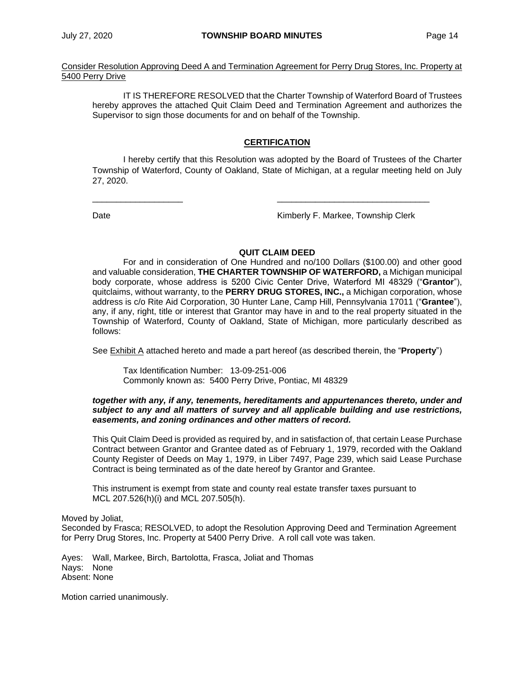Consider Resolution Approving Deed A and Termination Agreement for Perry Drug Stores, Inc. Property at 5400 Perry Drive

IT IS THEREFORE RESOLVED that the Charter Township of Waterford Board of Trustees hereby approves the attached Quit Claim Deed and Termination Agreement and authorizes the Supervisor to sign those documents for and on behalf of the Township.

## **CERTIFICATION**

I hereby certify that this Resolution was adopted by the Board of Trustees of the Charter Township of Waterford, County of Oakland, State of Michigan, at a regular meeting held on July 27, 2020.

\_\_\_\_\_\_\_\_\_\_\_\_\_\_\_\_\_\_\_ \_\_\_\_\_\_\_\_\_\_\_\_\_\_\_\_\_\_\_\_\_\_\_\_\_\_\_\_\_\_\_\_

Date **Contract Contract Contract Contract Contract Contract Contract Contract Contract Contract Contract Contract Contract Contract Contract Contract Contract Contract Contract Contract Contract Contract Contract Contract** 

## **QUIT CLAIM DEED**

For and in consideration of One Hundred and no/100 Dollars (\$100.00) and other good and valuable consideration, **THE CHARTER TOWNSHIP OF WATERFORD,** a Michigan municipal body corporate, whose address is 5200 Civic Center Drive, Waterford MI 48329 ("**Grantor**"), quitclaims, without warranty, to the **PERRY DRUG STORES, INC.,** a Michigan corporation, whose address is c/o Rite Aid Corporation, 30 Hunter Lane, Camp Hill, Pennsylvania 17011 ("**Grantee**"), any, if any, right, title or interest that Grantor may have in and to the real property situated in the Township of Waterford, County of Oakland, State of Michigan, more particularly described as follows:

See Exhibit A attached hereto and made a part hereof (as described therein, the "**Property**")

Tax Identification Number: 13-09-251-006 Commonly known as: 5400 Perry Drive, Pontiac, MI 48329

#### *together with any, if any, tenements, hereditaments and appurtenances thereto, under and subject to any and all matters of survey and all applicable building and use restrictions, easements, and zoning ordinances and other matters of record.*

This Quit Claim Deed is provided as required by, and in satisfaction of, that certain Lease Purchase Contract between Grantor and Grantee dated as of February 1, 1979, recorded with the Oakland County Register of Deeds on May 1, 1979, in Liber 7497, Page 239, which said Lease Purchase Contract is being terminated as of the date hereof by Grantor and Grantee.

This instrument is exempt from state and county real estate transfer taxes pursuant to MCL 207.526(h)(i) and MCL 207.505(h).

Moved by Joliat, Seconded by Frasca; RESOLVED, to adopt the Resolution Approving Deed and Termination Agreement for Perry Drug Stores, Inc. Property at 5400 Perry Drive. A roll call vote was taken.

Ayes: Wall, Markee, Birch, Bartolotta, Frasca, Joliat and Thomas Nays: None Absent: None

Motion carried unanimously.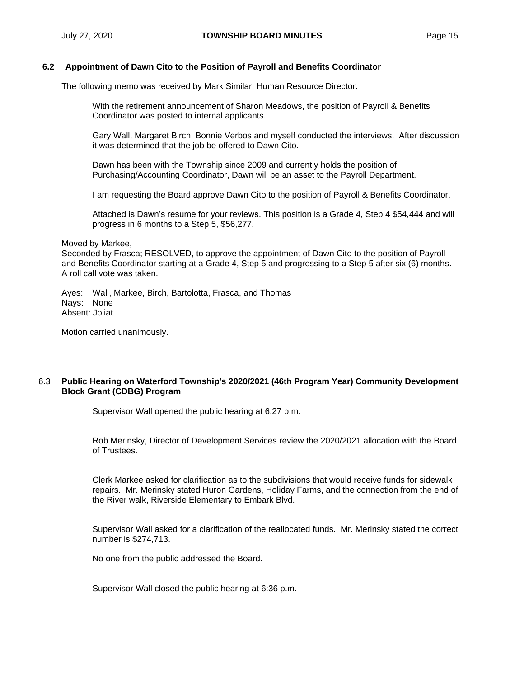## **6.2 Appointment of Dawn Cito to the Position of Payroll and Benefits Coordinator**

The following memo was received by Mark Similar, Human Resource Director.

With the retirement announcement of Sharon Meadows, the position of Payroll & Benefits Coordinator was posted to internal applicants.

Gary Wall, Margaret Birch, Bonnie Verbos and myself conducted the interviews. After discussion it was determined that the job be offered to Dawn Cito.

Dawn has been with the Township since 2009 and currently holds the position of Purchasing/Accounting Coordinator, Dawn will be an asset to the Payroll Department.

I am requesting the Board approve Dawn Cito to the position of Payroll & Benefits Coordinator.

Attached is Dawn's resume for your reviews. This position is a Grade 4, Step 4 \$54,444 and will progress in 6 months to a Step 5, \$56,277.

Moved by Markee,

Seconded by Frasca; RESOLVED, to approve the appointment of Dawn Cito to the position of Payroll and Benefits Coordinator starting at a Grade 4, Step 5 and progressing to a Step 5 after six (6) months. A roll call vote was taken.

Ayes: Wall, Markee, Birch, Bartolotta, Frasca, and Thomas Nays: None Absent: Joliat

Motion carried unanimously.

## 6.3 **Public Hearing on Waterford Township's 2020/2021 (46th Program Year) Community Development Block Grant (CDBG) Program**

Supervisor Wall opened the public hearing at 6:27 p.m.

Rob Merinsky, Director of Development Services review the 2020/2021 allocation with the Board of Trustees.

Clerk Markee asked for clarification as to the subdivisions that would receive funds for sidewalk repairs. Mr. Merinsky stated Huron Gardens, Holiday Farms, and the connection from the end of the River walk, Riverside Elementary to Embark Blvd.

Supervisor Wall asked for a clarification of the reallocated funds. Mr. Merinsky stated the correct number is \$274,713.

No one from the public addressed the Board.

Supervisor Wall closed the public hearing at 6:36 p.m.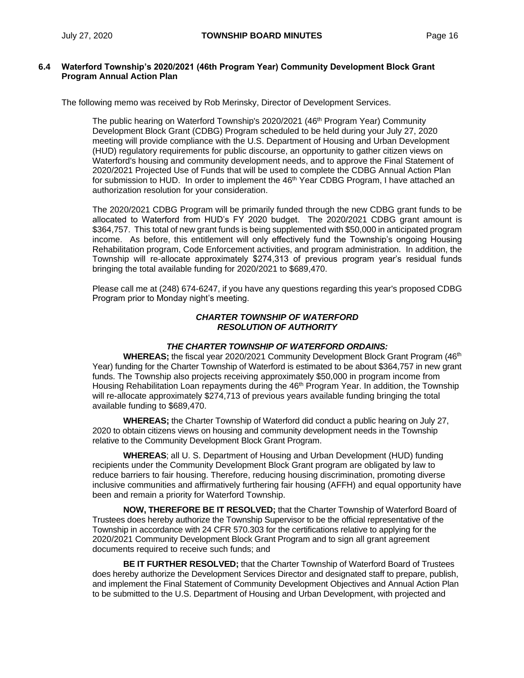## **6.4 Waterford Township's 2020/2021 (46th Program Year) Community Development Block Grant Program Annual Action Plan**

The following memo was received by Rob Merinsky, Director of Development Services.

The public hearing on Waterford Township's 2020/2021 (46<sup>th</sup> Program Year) Community Development Block Grant (CDBG) Program scheduled to be held during your July 27, 2020 meeting will provide compliance with the U.S. Department of Housing and Urban Development (HUD) regulatory requirements for public discourse, an opportunity to gather citizen views on Waterford's housing and community development needs, and to approve the Final Statement of 2020/2021 Projected Use of Funds that will be used to complete the CDBG Annual Action Plan for submission to HUD. In order to implement the  $46<sup>th</sup>$  Year CDBG Program, I have attached an authorization resolution for your consideration.

The 2020/2021 CDBG Program will be primarily funded through the new CDBG grant funds to be allocated to Waterford from HUD's FY 2020 budget. The 2020/2021 CDBG grant amount is \$364,757. This total of new grant funds is being supplemented with \$50,000 in anticipated program income. As before, this entitlement will only effectively fund the Township's ongoing Housing Rehabilitation program, Code Enforcement activities, and program administration. In addition, the Township will re-allocate approximately \$274,313 of previous program year's residual funds bringing the total available funding for 2020/2021 to \$689,470.

Please call me at (248) 674-6247, if you have any questions regarding this year's proposed CDBG Program prior to Monday night's meeting.

## *CHARTER TOWNSHIP OF WATERFORD RESOLUTION OF AUTHORITY*

## *THE CHARTER TOWNSHIP OF WATERFORD ORDAINS:*

**WHEREAS;** the fiscal year 2020/2021 Community Development Block Grant Program (46<sup>th</sup>) Year) funding for the Charter Township of Waterford is estimated to be about \$364,757 in new grant funds. The Township also projects receiving approximately \$50,000 in program income from Housing Rehabilitation Loan repayments during the 46<sup>th</sup> Program Year. In addition, the Township will re-allocate approximately \$274,713 of previous years available funding bringing the total available funding to \$689,470.

**WHEREAS;** the Charter Township of Waterford did conduct a public hearing on July 27, 2020 to obtain citizens views on housing and community development needs in the Township relative to the Community Development Block Grant Program.

**WHEREAS**; all U. S. Department of Housing and Urban Development (HUD) funding recipients under the Community Development Block Grant program are obligated by law to reduce barriers to fair housing. Therefore, reducing housing discrimination, promoting diverse inclusive communities and affirmatively furthering fair housing (AFFH) and equal opportunity have been and remain a priority for Waterford Township.

**NOW, THEREFORE BE IT RESOLVED;** that the Charter Township of Waterford Board of Trustees does hereby authorize the Township Supervisor to be the official representative of the Township in accordance with 24 CFR 570.303 for the certifications relative to applying for the 2020/2021 Community Development Block Grant Program and to sign all grant agreement documents required to receive such funds; and

**BE IT FURTHER RESOLVED;** that the Charter Township of Waterford Board of Trustees does hereby authorize the Development Services Director and designated staff to prepare, publish, and implement the Final Statement of Community Development Objectives and Annual Action Plan to be submitted to the U.S. Department of Housing and Urban Development, with projected and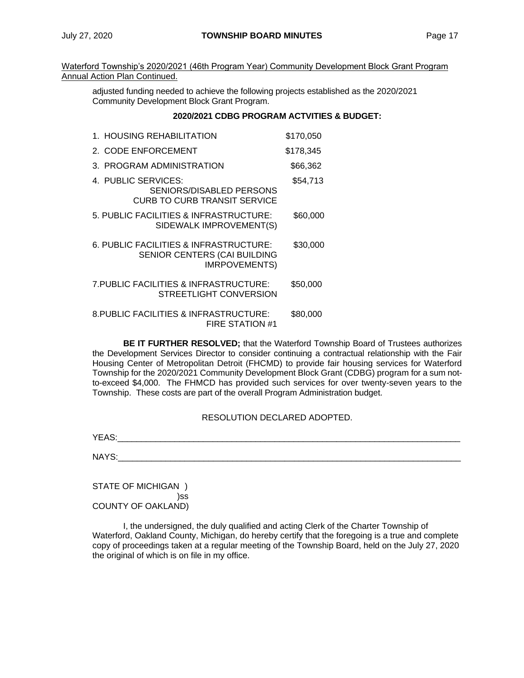Waterford Township's 2020/2021 (46th Program Year) Community Development Block Grant Program Annual Action Plan Continued.

adjusted funding needed to achieve the following projects established as the 2020/2021 Community Development Block Grant Program.

## **2020/2021 CDBG PROGRAM ACTVITIES & BUDGET:**

| 1. HOUSING REHABILITATION                                                                      | \$170,050 |
|------------------------------------------------------------------------------------------------|-----------|
| 2. CODE ENFORCEMENT                                                                            | \$178,345 |
| 3. PROGRAM ADMINISTRATION                                                                      | \$66,362  |
| 4. PUBLIC SERVICES:<br><b>SENIORS/DISABLED PERSONS</b><br><b>CURB TO CURB TRANSIT SERVICE</b>  | \$54,713  |
| 5. PUBLIC FACILITIES & INFRASTRUCTURE:<br>SIDEWALK IMPROVEMENT(S)                              | \$60,000  |
| 6. PUBLIC FACILITIES & INFRASTRUCTURE:<br>SENIOR CENTERS (CAI BUILDING<br><b>IMRPOVEMENTS)</b> | \$30,000  |
| 7. PUBLIC FACILITIES & INFRASTRUCTURE:<br>STREETLIGHT CONVERSION                               | \$50,000  |
| 8. PUBLIC FACILITIES & INFRASTRUCTURE:<br>FIRE STATION #1                                      | \$80,000  |

**BE IT FURTHER RESOLVED;** that the Waterford Township Board of Trustees authorizes the Development Services Director to consider continuing a contractual relationship with the Fair Housing Center of Metropolitan Detroit (FHCMD) to provide fair housing services for Waterford Township for the 2020/2021 Community Development Block Grant (CDBG) program for a sum notto-exceed \$4,000. The FHMCD has provided such services for over twenty-seven years to the Township. These costs are part of the overall Program Administration budget.

## RESOLUTION DECLARED ADOPTED.

YEAS:\_\_\_\_\_\_\_\_\_\_\_\_\_\_\_\_\_\_\_\_\_\_\_\_\_\_\_\_\_\_\_\_\_\_\_\_\_\_\_\_\_\_\_\_\_\_\_\_\_\_\_\_\_\_\_\_\_\_\_\_\_\_\_\_\_\_\_\_\_\_\_\_

 $NAYS:$ 

STATE OF MICHIGAN ) )ss COUNTY OF OAKLAND)

I, the undersigned, the duly qualified and acting Clerk of the Charter Township of Waterford, Oakland County, Michigan, do hereby certify that the foregoing is a true and complete copy of proceedings taken at a regular meeting of the Township Board, held on the July 27, 2020 the original of which is on file in my office.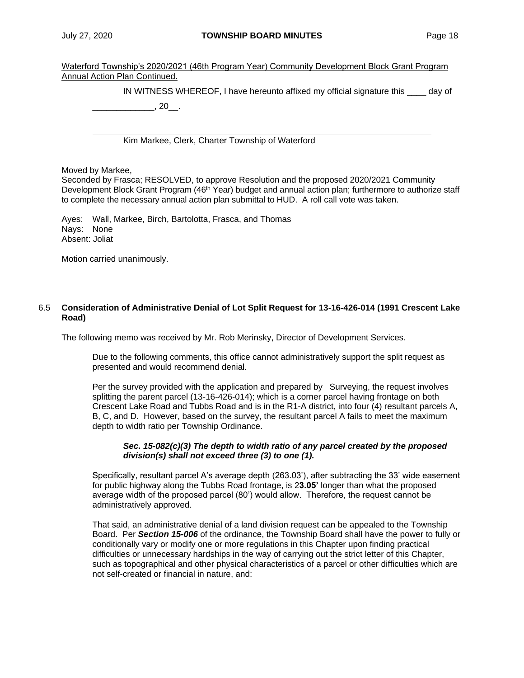Waterford Township's 2020/2021 (46th Program Year) Community Development Block Grant Program Annual Action Plan Continued.

IN WITNESS WHEREOF, I have hereunto affixed my official signature this \_\_\_\_ day of

 $\frac{1}{20}$ , 20

Kim Markee, Clerk, Charter Township of Waterford

Moved by Markee,

Seconded by Frasca; RESOLVED, to approve Resolution and the proposed 2020/2021 Community Development Block Grant Program (46<sup>th</sup> Year) budget and annual action plan; furthermore to authorize staff to complete the necessary annual action plan submittal to HUD. A roll call vote was taken.

Ayes: Wall, Markee, Birch, Bartolotta, Frasca, and Thomas Nays: None Absent: Joliat

Motion carried unanimously.

## 6.5 **Consideration of Administrative Denial of Lot Split Request for 13-16-426-014 (1991 Crescent Lake Road)**

The following memo was received by Mr. Rob Merinsky, Director of Development Services.

Due to the following comments, this office cannot administratively support the split request as presented and would recommend denial.

Per the survey provided with the application and prepared by Surveying, the request involves splitting the parent parcel (13-16-426-014); which is a corner parcel having frontage on both Crescent Lake Road and Tubbs Road and is in the R1-A district, into four (4) resultant parcels A, B, C, and D. However, based on the survey, the resultant parcel A fails to meet the maximum depth to width ratio per Township Ordinance.

## *Sec. 15-082(c)(3) The depth to width ratio of any parcel created by the proposed division(s) shall not exceed three (3) to one (1).*

Specifically, resultant parcel A's average depth (263.03'), after subtracting the 33' wide easement for public highway along the Tubbs Road frontage, is 2**3.05'** longer than what the proposed average width of the proposed parcel (80') would allow. Therefore, the request cannot be administratively approved.

That said, an administrative denial of a land division request can be appealed to the Township Board. Per *Section 15-006* of the ordinance, the Township Board shall have the power to fully or conditionally vary or modify one or more regulations in this Chapter upon finding practical difficulties or unnecessary hardships in the way of carrying out the strict letter of this Chapter, such as topographical and other physical characteristics of a parcel or other difficulties which are not self-created or financial in nature, and: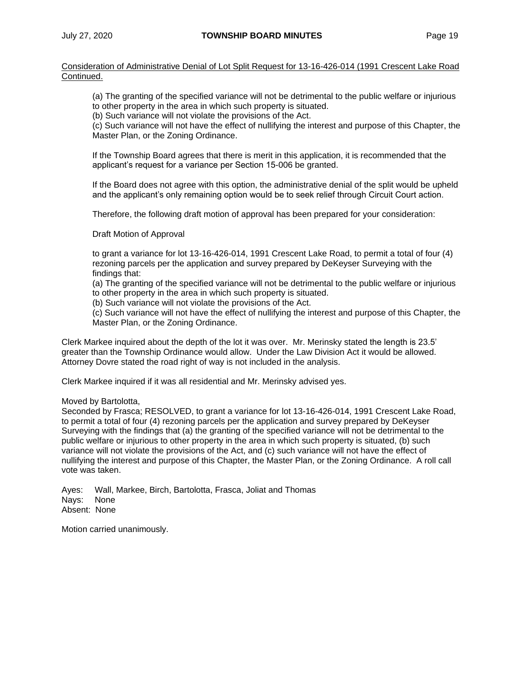Consideration of Administrative Denial of Lot Split Request for 13-16-426-014 (1991 Crescent Lake Road Continued.

(a) The granting of the specified variance will not be detrimental to the public welfare or injurious to other property in the area in which such property is situated.

(b) Such variance will not violate the provisions of the Act.

(c) Such variance will not have the effect of nullifying the interest and purpose of this Chapter, the Master Plan, or the Zoning Ordinance.

If the Township Board agrees that there is merit in this application, it is recommended that the applicant's request for a variance per Section 15-006 be granted.

If the Board does not agree with this option, the administrative denial of the split would be upheld and the applicant's only remaining option would be to seek relief through Circuit Court action.

Therefore, the following draft motion of approval has been prepared for your consideration:

Draft Motion of Approval

to grant a variance for lot 13-16-426-014, 1991 Crescent Lake Road, to permit a total of four (4) rezoning parcels per the application and survey prepared by DeKeyser Surveying with the findings that:

(a) The granting of the specified variance will not be detrimental to the public welfare or injurious to other property in the area in which such property is situated.

(b) Such variance will not violate the provisions of the Act.

(c) Such variance will not have the effect of nullifying the interest and purpose of this Chapter, the Master Plan, or the Zoning Ordinance.

Clerk Markee inquired about the depth of the lot it was over. Mr. Merinsky stated the length is 23.5' greater than the Township Ordinance would allow. Under the Law Division Act it would be allowed. Attorney Dovre stated the road right of way is not included in the analysis.

Clerk Markee inquired if it was all residential and Mr. Merinsky advised yes.

Moved by Bartolotta,

Seconded by Frasca; RESOLVED, to grant a variance for lot 13-16-426-014, 1991 Crescent Lake Road, to permit a total of four (4) rezoning parcels per the application and survey prepared by DeKeyser Surveying with the findings that (a) the granting of the specified variance will not be detrimental to the public welfare or injurious to other property in the area in which such property is situated, (b) such variance will not violate the provisions of the Act, and (c) such variance will not have the effect of nullifying the interest and purpose of this Chapter, the Master Plan, or the Zoning Ordinance. A roll call vote was taken.

Ayes: Wall, Markee, Birch, Bartolotta, Frasca, Joliat and Thomas Nays: None Absent: None

Motion carried unanimously.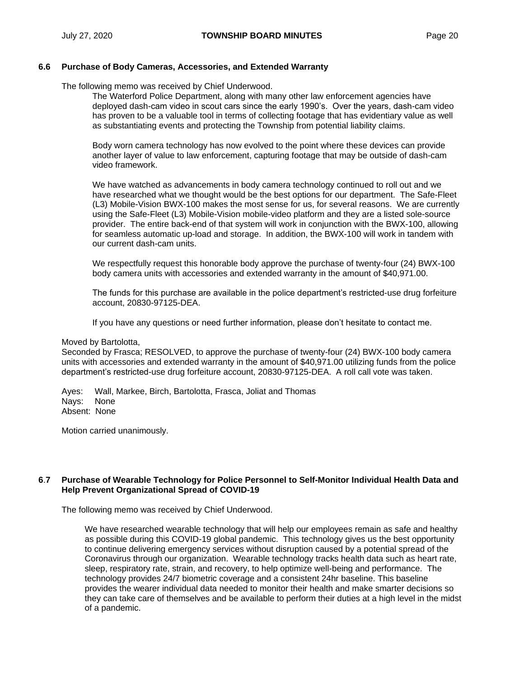## **6.6 Purchase of Body Cameras, Accessories, and Extended Warranty**

The following memo was received by Chief Underwood.

The Waterford Police Department, along with many other law enforcement agencies have deployed dash-cam video in scout cars since the early 1990's. Over the years, dash-cam video has proven to be a valuable tool in terms of collecting footage that has evidentiary value as well as substantiating events and protecting the Township from potential liability claims.

Body worn camera technology has now evolved to the point where these devices can provide another layer of value to law enforcement, capturing footage that may be outside of dash-cam video framework.

We have watched as advancements in body camera technology continued to roll out and we have researched what we thought would be the best options for our department. The Safe-Fleet (L3) Mobile-Vision BWX-100 makes the most sense for us, for several reasons. We are currently using the Safe-Fleet (L3) Mobile-Vision mobile-video platform and they are a listed sole-source provider. The entire back-end of that system will work in conjunction with the BWX-100, allowing for seamless automatic up-load and storage. In addition, the BWX-100 will work in tandem with our current dash-cam units.

We respectfully request this honorable body approve the purchase of twenty-four (24) BWX-100 body camera units with accessories and extended warranty in the amount of \$40,971.00.

The funds for this purchase are available in the police department's restricted-use drug forfeiture account, 20830-97125-DEA.

If you have any questions or need further information, please don't hesitate to contact me.

#### Moved by Bartolotta,

Seconded by Frasca; RESOLVED, to approve the purchase of twenty-four (24) BWX-100 body camera units with accessories and extended warranty in the amount of \$40,971.00 utilizing funds from the police department's restricted-use drug forfeiture account, 20830-97125-DEA. A roll call vote was taken.

Ayes: Wall, Markee, Birch, Bartolotta, Frasca, Joliat and Thomas Nays: None Absent: None

Motion carried unanimously.

## **6**.**7 Purchase of Wearable Technology for Police Personnel to Self-Monitor Individual Health Data and Help Prevent Organizational Spread of COVID-19**

The following memo was received by Chief Underwood.

We have researched wearable technology that will help our employees remain as safe and healthy as possible during this COVID-19 global pandemic. This technology gives us the best opportunity to continue delivering emergency services without disruption caused by a potential spread of the Coronavirus through our organization. Wearable technology tracks health data such as heart rate, sleep, respiratory rate, strain, and recovery, to help optimize well-being and performance. The technology provides 24/7 biometric coverage and a consistent 24hr baseline. This baseline provides the wearer individual data needed to monitor their health and make smarter decisions so they can take care of themselves and be available to perform their duties at a high level in the midst of a pandemic.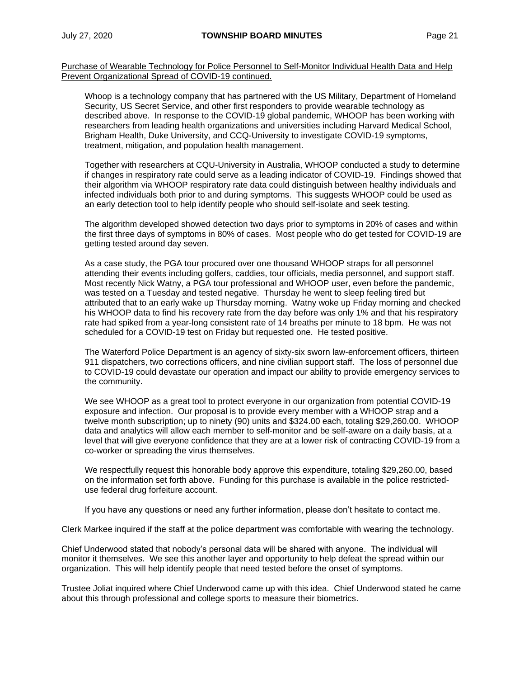Purchase of Wearable Technology for Police Personnel to Self-Monitor Individual Health Data and Help Prevent Organizational Spread of COVID-19 continued.

Whoop is a technology company that has partnered with the US Military, Department of Homeland Security, US Secret Service, and other first responders to provide wearable technology as described above. In response to the COVID-19 global pandemic, WHOOP has been working with researchers from leading health organizations and universities including Harvard Medical School, Brigham Health, Duke University, and CCQ-University to investigate COVID-19 symptoms, treatment, mitigation, and population health management.

Together with researchers at CQU-University in Australia, WHOOP conducted a study to determine if changes in respiratory rate could serve as a leading indicator of COVID-19. Findings showed that their algorithm via WHOOP respiratory rate data could distinguish between healthy individuals and infected individuals both prior to and during symptoms. This suggests WHOOP could be used as an early detection tool to help identify people who should self-isolate and seek testing.

The algorithm developed showed detection two days prior to symptoms in 20% of cases and within the first three days of symptoms in 80% of cases. Most people who do get tested for COVID-19 are getting tested around day seven.

As a case study, the PGA tour procured over one thousand WHOOP straps for all personnel attending their events including golfers, caddies, tour officials, media personnel, and support staff. Most recently Nick Watny, a PGA tour professional and WHOOP user, even before the pandemic, was tested on a Tuesday and tested negative. Thursday he went to sleep feeling tired but attributed that to an early wake up Thursday morning. Watny woke up Friday morning and checked his WHOOP data to find his recovery rate from the day before was only 1% and that his respiratory rate had spiked from a year-long consistent rate of 14 breaths per minute to 18 bpm. He was not scheduled for a COVID-19 test on Friday but requested one. He tested positive.

The Waterford Police Department is an agency of sixty-six sworn law-enforcement officers, thirteen 911 dispatchers, two corrections officers, and nine civilian support staff. The loss of personnel due to COVID-19 could devastate our operation and impact our ability to provide emergency services to the community.

We see WHOOP as a great tool to protect everyone in our organization from potential COVID-19 exposure and infection. Our proposal is to provide every member with a WHOOP strap and a twelve month subscription; up to ninety (90) units and \$324.00 each, totaling \$29,260.00. WHOOP data and analytics will allow each member to self-monitor and be self-aware on a daily basis, at a level that will give everyone confidence that they are at a lower risk of contracting COVID-19 from a co-worker or spreading the virus themselves.

We respectfully request this honorable body approve this expenditure, totaling \$29,260.00, based on the information set forth above. Funding for this purchase is available in the police restricteduse federal drug forfeiture account.

If you have any questions or need any further information, please don't hesitate to contact me.

Clerk Markee inquired if the staff at the police department was comfortable with wearing the technology.

Chief Underwood stated that nobody's personal data will be shared with anyone. The individual will monitor it themselves. We see this another layer and opportunity to help defeat the spread within our organization. This will help identify people that need tested before the onset of symptoms.

Trustee Joliat inquired where Chief Underwood came up with this idea. Chief Underwood stated he came about this through professional and college sports to measure their biometrics.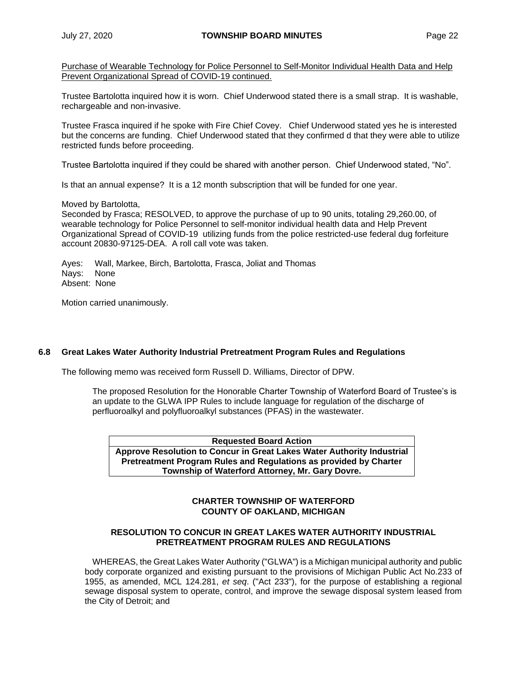Purchase of Wearable Technology for Police Personnel to Self-Monitor Individual Health Data and Help Prevent Organizational Spread of COVID-19 continued.

Trustee Bartolotta inquired how it is worn. Chief Underwood stated there is a small strap. It is washable, rechargeable and non-invasive.

Trustee Frasca inquired if he spoke with Fire Chief Covey. Chief Underwood stated yes he is interested but the concerns are funding. Chief Underwood stated that they confirmed d that they were able to utilize restricted funds before proceeding.

Trustee Bartolotta inquired if they could be shared with another person. Chief Underwood stated, "No".

Is that an annual expense? It is a 12 month subscription that will be funded for one year.

#### Moved by Bartolotta,

Seconded by Frasca; RESOLVED, to approve the purchase of up to 90 units, totaling 29,260.00, of wearable technology for Police Personnel to self-monitor individual health data and Help Prevent Organizational Spread of COVID-19 utilizing funds from the police restricted-use federal dug forfeiture account 20830-97125-DEA. A roll call vote was taken.

Ayes: Wall, Markee, Birch, Bartolotta, Frasca, Joliat and Thomas Nays: None Absent: None

Motion carried unanimously.

## **6.8 Great Lakes Water Authority Industrial Pretreatment Program Rules and Regulations**

The following memo was received form Russell D. Williams, Director of DPW.

The proposed Resolution for the Honorable Charter Township of Waterford Board of Trustee's is an update to the GLWA IPP Rules to include language for regulation of the discharge of perfluoroalkyl and polyfluoroalkyl substances (PFAS) in the wastewater.

**Requested Board Action Approve Resolution to Concur in Great Lakes Water Authority Industrial Pretreatment Program Rules and Regulations as provided by Charter Township of Waterford Attorney, Mr. Gary Dovre.**

## **CHARTER TOWNSHIP OF WATERFORD COUNTY OF OAKLAND, MICHIGAN**

## **RESOLUTION TO CONCUR IN GREAT LAKES WATER AUTHORITY INDUSTRIAL PRETREATMENT PROGRAM RULES AND REGULATIONS**

WHEREAS, the Great Lakes Water Authority ("GLWA") is a Michigan municipal authority and public body corporate organized and existing pursuant to the provisions of Michigan Public Act No.233 of 1955, as amended, MCL 124.281, *et seq*. ("Act 233"), for the purpose of establishing a regional sewage disposal system to operate, control, and improve the sewage disposal system leased from the City of Detroit; and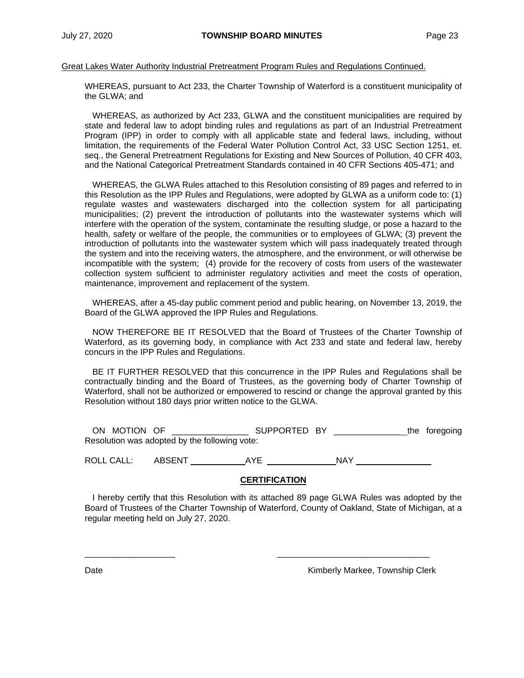#### Great Lakes Water Authority Industrial Pretreatment Program Rules and Regulations Continued.

WHEREAS, pursuant to Act 233, the Charter Township of Waterford is a constituent municipality of the GLWA; and

WHEREAS, as authorized by Act 233, GLWA and the constituent municipalities are required by state and federal law to adopt binding rules and regulations as part of an Industrial Pretreatment Program (IPP) in order to comply with all applicable state and federal laws, including, without limitation, the requirements of the Federal Water Pollution Control Act, 33 USC Section 1251, et. seq., the General Pretreatment Regulations for Existing and New Sources of Pollution, 40 CFR 403, and the National Categorical Pretreatment Standards contained in 40 CFR Sections 405-471; and

WHEREAS, the GLWA Rules attached to this Resolution consisting of 89 pages and referred to in this Resolution as the IPP Rules and Regulations, were adopted by GLWA as a uniform code to: (1) regulate wastes and wastewaters discharged into the collection system for all participating municipalities; (2) prevent the introduction of pollutants into the wastewater systems which will interfere with the operation of the system, contaminate the resulting sludge, or pose a hazard to the health, safety or welfare of the people, the communities or to employees of GLWA; (3) prevent the introduction of pollutants into the wastewater system which will pass inadequately treated through the system and into the receiving waters, the atmosphere, and the environment, or will otherwise be incompatible with the system; (4) provide for the recovery of costs from users of the wastewater collection system sufficient to administer regulatory activities and meet the costs of operation, maintenance, improvement and replacement of the system.

WHEREAS, after a 45-day public comment period and public hearing, on November 13, 2019, the Board of the GLWA approved the IPP Rules and Regulations.

NOW THEREFORE BE IT RESOLVED that the Board of Trustees of the Charter Township of Waterford, as its governing body, in compliance with Act 233 and state and federal law, hereby concurs in the IPP Rules and Regulations.

BE IT FURTHER RESOLVED that this concurrence in the IPP Rules and Regulations shall be contractually binding and the Board of Trustees, as the governing body of Charter Township of Waterford, shall not be authorized or empowered to rescind or change the approval granted by this Resolution without 180 days prior written notice to the GLWA.

ON MOTION OF \_\_\_\_\_\_\_\_\_\_\_\_\_\_\_\_ SUPPORTED BY \_\_\_\_\_\_\_\_\_\_\_\_\_\_ the foregoing Resolution was adopted by the following vote:

ROLL CALL: ABSENT AYE NAY

\_\_\_\_\_\_\_\_\_\_\_\_\_\_\_\_\_\_\_ \_\_\_\_\_\_\_\_\_\_\_\_\_\_\_\_\_\_\_\_\_\_\_\_\_\_\_\_\_\_\_\_

## **CERTIFICATION**

I hereby certify that this Resolution with its attached 89 page GLWA Rules was adopted by the Board of Trustees of the Charter Township of Waterford, County of Oakland, State of Michigan, at a regular meeting held on July 27, 2020.

Date **Contract Contract Contract Contract Contract Contract Contract Contract Contract Contract Contract Contract Contract Contract Contract Contract Contract Contract Contract Contract Contract Contract Contract Contract**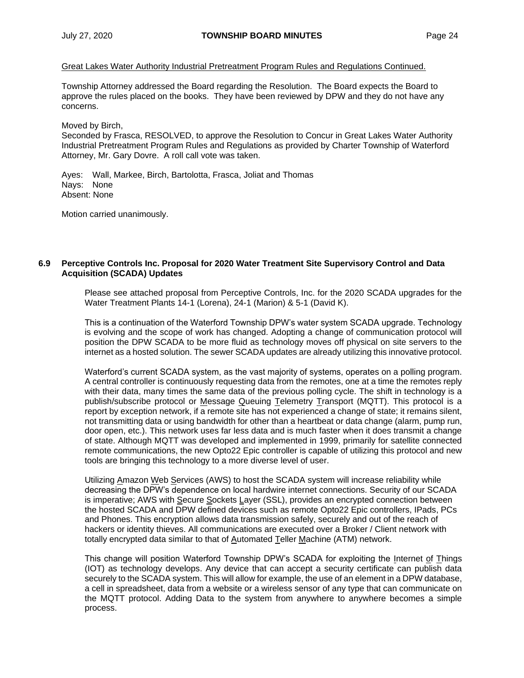## Great Lakes Water Authority Industrial Pretreatment Program Rules and Regulations Continued.

Township Attorney addressed the Board regarding the Resolution. The Board expects the Board to approve the rules placed on the books. They have been reviewed by DPW and they do not have any concerns.

#### Moved by Birch,

Seconded by Frasca, RESOLVED, to approve the Resolution to Concur in Great Lakes Water Authority Industrial Pretreatment Program Rules and Regulations as provided by Charter Township of Waterford Attorney, Mr. Gary Dovre. A roll call vote was taken.

Ayes: Wall, Markee, Birch, Bartolotta, Frasca, Joliat and Thomas Nays: None Absent: None

Motion carried unanimously.

## **6.9 Perceptive Controls Inc. Proposal for 2020 Water Treatment Site Supervisory Control and Data Acquisition (SCADA) Updates**

Please see attached proposal from Perceptive Controls, Inc. for the 2020 SCADA upgrades for the Water Treatment Plants 14-1 (Lorena), 24-1 (Marion) & 5-1 (David K).

This is a continuation of the Waterford Township DPW's water system SCADA upgrade. Technology is evolving and the scope of work has changed. Adopting a change of communication protocol will position the DPW SCADA to be more fluid as technology moves off physical on site servers to the internet as a hosted solution. The sewer SCADA updates are already utilizing this innovative protocol.

Waterford's current SCADA system, as the vast majority of systems, operates on a polling program. A central controller is continuously requesting data from the remotes, one at a time the remotes reply with their data, many times the same data of the previous polling cycle. The shift in technology is a publish/subscribe protocol or Message Queuing Telemetry Transport (MQTT). This protocol is a report by exception network, if a remote site has not experienced a change of state; it remains silent, not transmitting data or using bandwidth for other than a heartbeat or data change (alarm, pump run, door open, etc.). This network uses far less data and is much faster when it does transmit a change of state. Although MQTT was developed and implemented in 1999, primarily for satellite connected remote communications, the new Opto22 Epic controller is capable of utilizing this protocol and new tools are bringing this technology to a more diverse level of user.

Utilizing Amazon Web Services (AWS) to host the SCADA system will increase reliability while decreasing the DPW's dependence on local hardwire internet connections. Security of our SCADA is imperative; AWS with Secure Sockets Layer (SSL), provides an encrypted connection between the hosted SCADA and DPW defined devices such as remote Opto22 Epic controllers, IPads, PCs and Phones. This encryption allows data transmission safely, securely and out of the reach of hackers or identity thieves. All communications are executed over a Broker / Client network with totally encrypted data similar to that of Automated Teller Machine (ATM) network.

This change will position Waterford Township DPW's SCADA for exploiting the Internet of Things (IOT) as technology develops. Any device that can accept a security certificate can publish data securely to the SCADA system. This will allow for example, the use of an element in a DPW database, a cell in spreadsheet, data from a website or a wireless sensor of any type that can communicate on the MQTT protocol. Adding Data to the system from anywhere to anywhere becomes a simple process.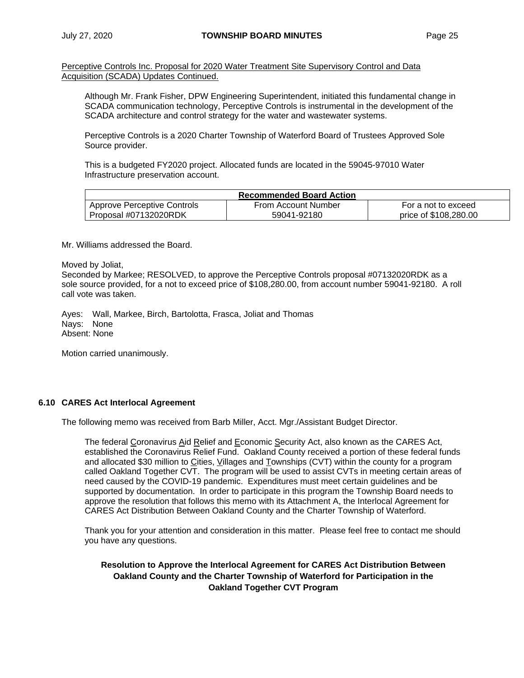Perceptive Controls Inc. Proposal for 2020 Water Treatment Site Supervisory Control and Data Acquisition (SCADA) Updates Continued.

Although Mr. Frank Fisher, DPW Engineering Superintendent, initiated this fundamental change in SCADA communication technology, Perceptive Controls is instrumental in the development of the SCADA architecture and control strategy for the water and wastewater systems.

Perceptive Controls is a 2020 Charter Township of Waterford Board of Trustees Approved Sole Source provider.

This is a budgeted FY2020 project. Allocated funds are located in the 59045-97010 Water Infrastructure preservation account.

| <b>Recommended Board Action</b> |                     |                       |  |  |  |
|---------------------------------|---------------------|-----------------------|--|--|--|
| Approve Perceptive Controls     | From Account Number | For a not to exceed   |  |  |  |
| Proposal #07132020RDK           | 59041-92180         | price of \$108,280,00 |  |  |  |

Mr. Williams addressed the Board.

Moved by Joliat,

Seconded by Markee; RESOLVED, to approve the Perceptive Controls proposal #07132020RDK as a sole source provided, for a not to exceed price of \$108,280.00, from account number 59041-92180. A roll call vote was taken.

Ayes: Wall, Markee, Birch, Bartolotta, Frasca, Joliat and Thomas Nays: None Absent: None

Motion carried unanimously.

## **6.10 CARES Act Interlocal Agreement**

The following memo was received from Barb Miller, Acct. Mgr./Assistant Budget Director.

The federal Coronavirus Aid Relief and Economic Security Act, also known as the CARES Act, established the Coronavirus Relief Fund. Oakland County received a portion of these federal funds and allocated \$30 million to Cities, Villages and Townships (CVT) within the county for a program called Oakland Together CVT. The program will be used to assist CVTs in meeting certain areas of need caused by the COVID-19 pandemic. Expenditures must meet certain guidelines and be supported by documentation. In order to participate in this program the Township Board needs to approve the resolution that follows this memo with its Attachment A, the Interlocal Agreement for CARES Act Distribution Between Oakland County and the Charter Township of Waterford.

Thank you for your attention and consideration in this matter. Please feel free to contact me should you have any questions.

**Resolution to Approve the Interlocal Agreement for CARES Act Distribution Between Oakland County and the Charter Township of Waterford for Participation in the Oakland Together CVT Program**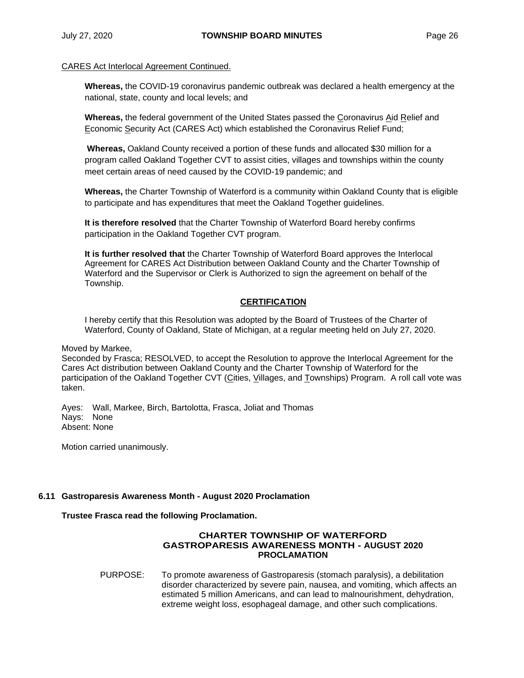## CARES Act Interlocal Agreement Continued.

**Whereas,** the COVID-19 coronavirus pandemic outbreak was declared a health emergency at the national, state, county and local levels; and

**Whereas,** the federal government of the United States passed the Coronavirus Aid Relief and Economic Security Act (CARES Act) which established the Coronavirus Relief Fund;

**Whereas,** Oakland County received a portion of these funds and allocated \$30 million for a program called Oakland Together CVT to assist cities, villages and townships within the county meet certain areas of need caused by the COVID-19 pandemic; and

**Whereas,** the Charter Township of Waterford is a community within Oakland County that is eligible to participate and has expenditures that meet the Oakland Together guidelines.

**It is therefore resolved** that the Charter Township of Waterford Board hereby confirms participation in the Oakland Together CVT program.

**It is further resolved that** the Charter Township of Waterford Board approves the Interlocal Agreement for CARES Act Distribution between Oakland County and the Charter Township of Waterford and the Supervisor or Clerk is Authorized to sign the agreement on behalf of the Township.

## **CERTIFICATION**

I hereby certify that this Resolution was adopted by the Board of Trustees of the Charter of Waterford, County of Oakland, State of Michigan, at a regular meeting held on July 27, 2020.

Moved by Markee,

Seconded by Frasca; RESOLVED, to accept the Resolution to approve the Interlocal Agreement for the Cares Act distribution between Oakland County and the Charter Township of Waterford for the participation of the Oakland Together CVT (Cities, Villages, and Townships) Program. A roll call vote was taken.

Ayes: Wall, Markee, Birch, Bartolotta, Frasca, Joliat and Thomas Nays: None Absent: None

Motion carried unanimously.

## **6.11 Gastroparesis Awareness Month - August 2020 Proclamation**

## **Trustee Frasca read the following Proclamation.**

#### **CHARTER TOWNSHIP OF WATERFORD GASTROPARESIS AWARENESS MONTH - AUGUST 2020 PROCLAMATION**

PURPOSE: To promote awareness of Gastroparesis (stomach paralysis), a debilitation disorder characterized by severe pain, nausea, and vomiting, which affects an estimated 5 million Americans, and can lead to malnourishment, dehydration, extreme weight loss, esophageal damage, and other such complications.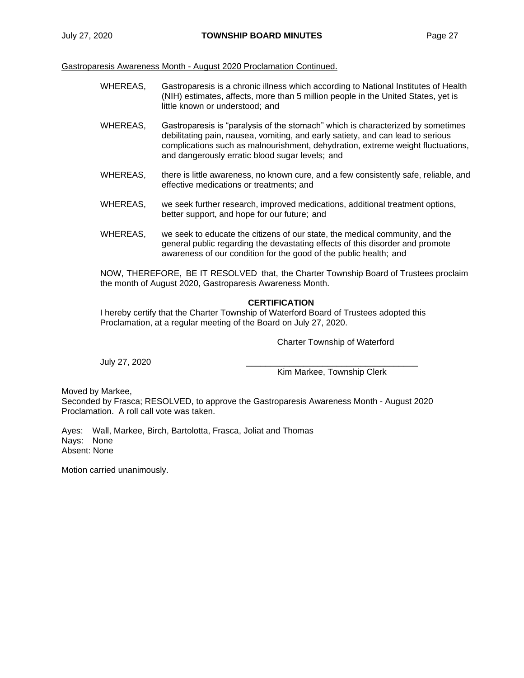Gastroparesis Awareness Month - August 2020 Proclamation Continued.

- WHEREAS, Gastroparesis is a chronic illness which according to National Institutes of Health (NIH) estimates, affects, more than 5 million people in the United States, yet is little known or understood; and
- WHEREAS, Gastroparesis is "paralysis of the stomach" which is characterized by sometimes debilitating pain, nausea, vomiting, and early satiety, and can lead to serious complications such as malnourishment, dehydration, extreme weight fluctuations, and dangerously erratic blood sugar levels; and
- WHEREAS, there is little awareness, no known cure, and a few consistently safe, reliable, and effective medications or treatments; and
- WHEREAS, we seek further research, improved medications, additional treatment options, better support, and hope for our future; and
- WHEREAS, we seek to educate the citizens of our state, the medical community, and the general public regarding the devastating effects of this disorder and promote awareness of our condition for the good of the public health; and

NOW, THEREFORE, BE IT RESOLVED that, the Charter Township Board of Trustees proclaim the month of August 2020, Gastroparesis Awareness Month.

## **CERTIFICATION**

I hereby certify that the Charter Township of Waterford Board of Trustees adopted this Proclamation, at a regular meeting of the Board on July 27, 2020.

Charter Township of Waterford

July 27, 2020 \_\_\_\_\_\_\_\_\_\_\_\_\_\_\_\_\_\_\_\_\_\_\_\_\_\_\_\_\_\_\_\_\_\_\_\_

Kim Markee, Township Clerk

Moved by Markee,

Seconded by Frasca; RESOLVED, to approve the Gastroparesis Awareness Month - August 2020 Proclamation. A roll call vote was taken.

Ayes: Wall, Markee, Birch, Bartolotta, Frasca, Joliat and Thomas Nays: None Absent: None

Motion carried unanimously.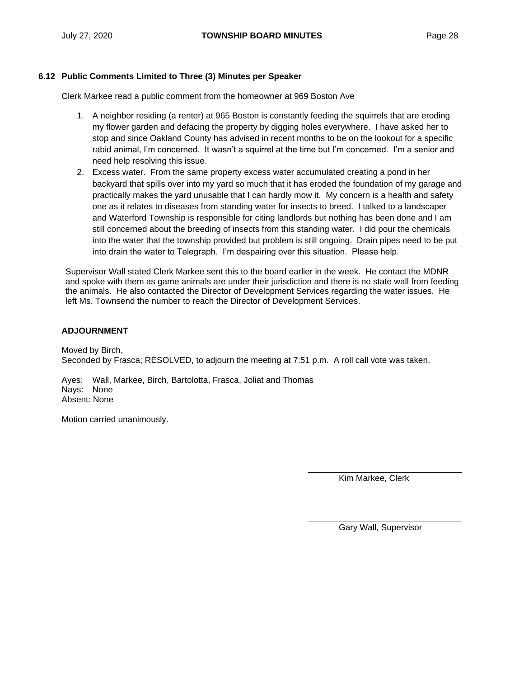## **6.12 Public Comments Limited to Three (3) Minutes per Speaker**

Clerk Markee read a public comment from the homeowner at 969 Boston Ave

- 1. A neighbor residing (a renter) at 965 Boston is constantly feeding the squirrels that are eroding my flower garden and defacing the property by digging holes everywhere. I have asked her to stop and since Oakland County has advised in recent months to be on the lookout for a specific rabid animal, I'm concerned. It wasn't a squirrel at the time but I'm concerned. I'm a senior and need help resolving this issue.
- 2. Excess water. From the same property excess water accumulated creating a pond in her backyard that spills over into my yard so much that it has eroded the foundation of my garage and practically makes the yard unusable that I can hardly mow it. My concern is a health and safety one as it relates to diseases from standing water for insects to breed. I talked to a landscaper and Waterford Township is responsible for citing landlords but nothing has been done and I am still concerned about the breeding of insects from this standing water. I did pour the chemicals into the water that the township provided but problem is still ongoing. Drain pipes need to be put into drain the water to Telegraph. I'm despairing over this situation. Please help.

Supervisor Wall stated Clerk Markee sent this to the board earlier in the week. He contact the MDNR and spoke with them as game animals are under their jurisdiction and there is no state wall from feeding the animals. He also contacted the Director of Development Services regarding the water issues. He left Ms. Townsend the number to reach the Director of Development Services.

## **ADJOURNMENT**

Moved by Birch, Seconded by Frasca; RESOLVED, to adjourn the meeting at 7:51 p.m. A roll call vote was taken.

Ayes: Wall, Markee, Birch, Bartolotta, Frasca, Joliat and Thomas Nays: None Absent: None

Motion carried unanimously.

Kim Markee, Clerk

Gary Wall, Supervisor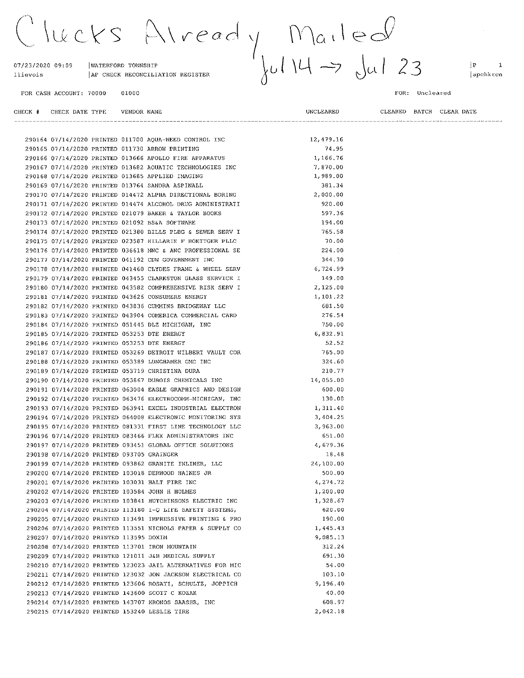$x|$  read  $y$  Mailed<br> $y$  Mailed<br> $y$  Jul 23 lucks

07/23/2020 09:09 WATERFORD TOWNSHIP AP CHECK RECONCILIATION REGISTER llievois

290213 07/14/2020 PRINTED 143600 SCOTT C KOZAK

290215 07/14/2020 PRINTED 153240 LESLIE TIRE

290214 07/14/2020 PRINTED 143707 KRONOS SAASHR, INC

01000

290164 07/14/2020 PRINTED 011700 AQUA-WEED CONTROL INC

UNCLEARED

12,479.16

40.00 608.97

2,042.18

 $|P|$  $\overline{\mathbf{1}}$ apchkrcn

FOR CASH ACCOUNT: 70000

#### FOR: Uncleared

|  |                                           |  | 290165 07/14/2020 PRINTED 011730 ARROW PRINTING            | 74.95     |
|--|-------------------------------------------|--|------------------------------------------------------------|-----------|
|  |                                           |  |                                                            |           |
|  |                                           |  | 290166 07/14/2020 PRINTED 013666 APOLLO FIRE APPARATUS     | 1,166.76  |
|  |                                           |  | 290167 07/14/2020 PRINTED 013682 AQUATIC TECHNOLOGIES INC  | 7,870.00  |
|  |                                           |  | 290168 07/14/2020 PRINTED 013685 APPLIED IMAGING           | 1,989.00  |
|  |                                           |  | 290169 07/14/2020 PRINTED 013764 SANDRA ASPINALL           | 381.34    |
|  |                                           |  | 290170 07/14/2020 PRINTED 014472 ALPHA DIRECTIONAL BORING  | 2,000.00  |
|  |                                           |  | 290171 07/14/2020 PRINTED 014474 ALCOHOL DRUG ADMINISTRATI | 920.00    |
|  |                                           |  | 290172 07/14/2020 PRINTED 021079 BAKER & TAYLOR BOOKS      | 597.36    |
|  |                                           |  | 290173 07/14/2020 PRINTED 021092 BS&A SOFTWARE             | 194.00    |
|  |                                           |  | 290174 07/14/2020 PRINTED 021380 BILLS PLBG & SEWER SERV I | 765.58    |
|  |                                           |  | 290175 07/14/2020 PRINTED 023587 HILLARIE F BOETTGER PLLC  | 70.00     |
|  |                                           |  | 290176 07/14/2020 PRINTED 036618 MNC & ANC PROFESSIONAL SE | 224.00    |
|  |                                           |  | 290177 07/14/2020 PRINTED 041192 CDW GOVERNMENT INC        | 344.30    |
|  |                                           |  | 290178 07/14/2020 PRINTED 041460 CLYDES FRAME & WHEEL SERV | 6,724.99  |
|  |                                           |  | 290179 07/14/2020 PRINTED 043455 CLARKSTON GLASS SERVICE I | 149.00    |
|  |                                           |  | 290180 07/14/2020 PRINTED 043582 COMPREHENSIVE RISK SERV I | 2,125.00  |
|  |                                           |  | 290181 07/14/2020 PRINTED 043626 CONSUMERS ENERGY          | 1,101.22  |
|  |                                           |  | 290182 07/14/2020 PRINTED 043836 CUMMINS BRIDGEWAY LLC     | 681.50    |
|  |                                           |  | 290183 07/14/2020 PRINTED 043904 COMERICA COMMERCIAL CARD  | 276.54    |
|  |                                           |  | 290184 07/14/2020 PRINTED 051445 DLZ MICHIGAN, INC         | 750.00    |
|  |                                           |  | 290185 07/14/2020 PRINTED 053253 DTE ENERGY                | 6,832.91  |
|  |                                           |  | 290186 07/14/2020 PRINTED 053253 DTE ENERGY                | 52.52     |
|  |                                           |  | 290187 07/14/2020 PRINTED 053269 DETROIT WILBERT VAULT COR | 765.00    |
|  |                                           |  | 290188 07/14/2020 PRINTED 053389 LUNGHAMER GMC INC         | 324.60    |
|  |                                           |  | 290189 07/14/2020 PRINTED 053719 CHRISTINA DURA            | 210.77    |
|  |                                           |  |                                                            |           |
|  |                                           |  | 290190 07/14/2020 PRINTED 053867 DUBOIS CHEMICALS INC      | 14,055.00 |
|  |                                           |  | 290191 07/14/2020 PRINTED 063004 EAGLE GRAPHICS AND DESIGN | 600.00    |
|  |                                           |  | 290192 07/14/2020 PRINTED 063476 ELECTROCOMM-MICHIGAN, INC | 130.00    |
|  |                                           |  | 290193 07/14/2020 PRINTED 063941 EXCEL INDUSTRIAL ELECTRON | 1,311.40  |
|  |                                           |  | 290194 07/14/2020 PRINTED 064008 ELECTRONIC MONITORING SYS | 3,404.25  |
|  |                                           |  | 290195 07/14/2020 PRINTED 081331 FIRST LINE TECHNOLOGY LLC | 3,963.00  |
|  |                                           |  | 290196 07/14/2020 PRINTED 083466 FLEX ADMINISTRATORS INC   | 651.00    |
|  |                                           |  | 290197 07/14/2020 PRINTED 093451 GLOBAL OFFICE SOLUTIONS   | 4,679.36  |
|  | 290198 07/14/2020 PRINTED 093705 GRAINGER |  |                                                            | 18.48     |
|  |                                           |  | 290199 07/14/2020 PRINTED 093862 GRANITE INLINER, LLC      | 24,100.00 |
|  |                                           |  | 290200 07/14/2020 PRINTED 103018 DERWOOD HAINES JR         | 500.00    |
|  |                                           |  | 290201 07/14/2020 PRINTED 103031 HALT FIRE INC             | 4,274.72  |
|  |                                           |  | 290202 07/14/2020 PRINTED 103584 JOHN H HOLMES             | 1,200.00  |
|  |                                           |  | 290203 07/14/2020 PRINTED 103841 HUTCHINSONS ELECTRIC INC  | 1,328.67  |
|  |                                           |  | 290204 07/14/2020 PRINTED 113180 I-Q LIFE SAFETY SYSTEMS,  | 620.00    |
|  |                                           |  | 290205 07/14/2020 PRINTED 113491 IMPRESSIVE PRINTING & PRO | 190.00    |
|  |                                           |  | 290206 07/14/2020 PRINTED 113551 NICHOLS PAPER & SUPPLY CO | 1,445.43  |
|  | 290207 07/14/2020 PRINTED 113595 DOXIM    |  |                                                            | 9,085.13  |
|  |                                           |  | 290208 07/14/2020 PRINTED 113701 IRON MOUNTAIN             | 312.24    |
|  |                                           |  | 290209 07/14/2020 PRINTED 121011 J&B MEDICAL SUPPLY        | 691.30    |
|  |                                           |  | 290210 07/14/2020 PRINTED 123023 JAIL ALTERNATIVES FOR MIC | 54.00     |
|  |                                           |  | 290211 07/14/2020 PRINTED 123032 JON JACKSON ELECTRICAL CO | 103.10    |
|  |                                           |  | 290212 07/14/2020 PRINTED 123606 ROSATI, SCHULTZ, JOPPICH  | 9,196.40  |
|  |                                           |  |                                                            |           |

CLEARED BATCH CLEAR DATE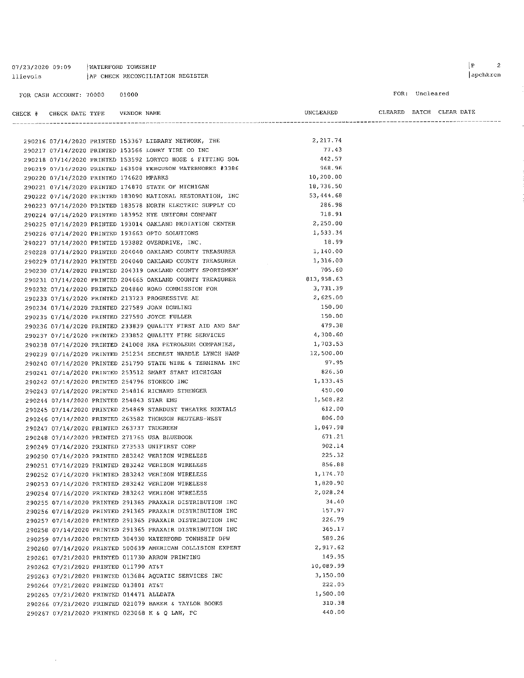07/23/2020 09:09 | WATERFORD TOWNSHIP AP CHECK RECONCILIATION REGISTER llievois

 $\mathcal{A}^{\mathcal{A}}$ 

FOR: Uncleared

| CHECK # CHECK DATE TYPE    VENDOR NAME    |  |                                                            | UNCLEARED  |  | CLEARED BATCH CLEAR DATE |
|-------------------------------------------|--|------------------------------------------------------------|------------|--|--------------------------|
|                                           |  |                                                            |            |  |                          |
|                                           |  | 290216 07/14/2020 PRINTED 153367 LIBRARY NETWORK, THE      | 2, 217.74  |  |                          |
|                                           |  | 290217 07/14/2020 PRINTED 153566 LOWRY TIRE CO INC         | 77,43      |  |                          |
|                                           |  | 290218 07/14/2020 PRINTED 153592 LORYCO HOSE & FITTING SOL | 442.57     |  |                          |
|                                           |  | 290219 07/14/2020 PRINTED 163508 FERGUSON WATERWORKS #3386 | 968.96     |  |                          |
| 290220 07/14/2020 PRINTED 174620 MPARKS   |  |                                                            | 10,200.00  |  |                          |
|                                           |  | 290221 07/14/2020 PRINTED 174870 STATE OF MICHIGAN         | 18,736.50  |  |                          |
|                                           |  | 290222 07/14/2020 PRINTED 183090 NATIONAL RESTORATION, INC | 53,444.68  |  |                          |
|                                           |  | 290223 07/14/2020 PRINTED 183578 NORTH ELECTRIC SUPPLY CO  | 286.98     |  |                          |
|                                           |  | 290224 07/14/2020 PRINTED 183952 NYE UNIFORM COMPANY       | 718.91     |  |                          |
|                                           |  | 290225 07/14/2020 PRINTED 193014 OAKLAND MEDIATION CENTER  | 2,250.00   |  |                          |
|                                           |  | 290226 07/14/2020 PRINTED 193663 OPTO SOLUTIONS            | 1,533.34   |  |                          |
|                                           |  | 290227 07/14/2020 PRINTED 193882 OVERDRIVE, INC.           | 18.99      |  |                          |
|                                           |  | 290228 07/14/2020 PRINTED 204040 OAKLAND COUNTY TREASURER  | 1,140.00   |  |                          |
|                                           |  | 290229 07/14/2020 PRINTED 204040 OAKLAND COUNTY TREASURER  | 1,316.00   |  |                          |
|                                           |  | 290230 07/14/2020 PRINTED 204319 OAKLAND COUNTY SPORTSMEN' | 705.60     |  |                          |
|                                           |  | 290231 07/14/2020 PRINTED 204665 OAKLAND COUNTY TREASURER  | 813,958.63 |  |                          |
|                                           |  | 290232 07/14/2020 PRINTED 204860 ROAD COMMISSION FOR       | 3,731.39   |  |                          |
|                                           |  | 290233 07/14/2020 PRINTED 213723 PROGRESSIVE AE            | 2,625.00   |  |                          |
|                                           |  | 290234 07/14/2020 PRINTED 227589 JOAN DOWLING              | 150.00     |  |                          |
|                                           |  | 290235 07/14/2020 PRINTED 227590 JOYCE FULLER              | 150.00     |  |                          |
|                                           |  | 290236 07/14/2020 PRINTED 233839 QUALITY FIRST AID AND SAF | 479.38     |  |                          |
|                                           |  | 290237 07/14/2020 PRINTED 233852 QUALITY FIRE SERVICES     | 4,300.60   |  |                          |
|                                           |  | 290238 07/14/2020 PRINTED 241008 RKA PETROLEUM COMPANIES,  | 1,703.53   |  |                          |
|                                           |  | 290239 07/14/2020 PRINTED 251234 SECREST WARDLE LYNCH HAMP | 12,500.00  |  |                          |
|                                           |  | 290240 07/14/2020 PRINTED 251790 STATE WIRE & TERMINAL INC | 97.95      |  |                          |
|                                           |  | 290241 07/14/2020 PRINTED 253512 SMART START MICHIGAN      | 826.50     |  |                          |
|                                           |  |                                                            | 1,133.45   |  |                          |
|                                           |  | 290242 07/14/2020 PRINTED 254796 STONECO INC               | 450.00     |  |                          |
|                                           |  | 290243 07/14/2020 PRINTED 254816 RICHARD STRENGER          | 1,508.82   |  |                          |
| 290244 07/14/2020 PRINTED 254843 STAR EMS |  | 290245 07/14/2020 PRINTED 254869 STARDUST THEATRE RENTALS  | 612.00     |  |                          |
|                                           |  |                                                            | 806.00     |  |                          |
|                                           |  | 290246 07/14/2020 PRINTED 263582 THOMSON REUTERS-WEST      | 1,047.98   |  |                          |
| 290247 07/14/2020 PRINTED 263737 TRUGREEN |  |                                                            | 671.21     |  |                          |
|                                           |  | 290248 07/14/2020 PRINTED 271765 USA BLUEBOOK              | 902.14     |  |                          |
|                                           |  | 290249 07/14/2020 PRINTED 273533 UNIFIRST CORP             | 225.32     |  |                          |
|                                           |  | 290250 07/14/2020 PRINTED 283242 VERIZON WIRELESS          |            |  |                          |
|                                           |  | 290251 07/14/2020 PRINTED 283242 VERIZON WIRELESS          | 856.88     |  |                          |
|                                           |  | 290252 07/14/2020 PRINTED 283242 VERIZON WIRELESS          | 1,174.70   |  |                          |
|                                           |  | 290253 07/14/2020 PRINTED 283242 VERIZON WIRELESS          | 1,820.90   |  |                          |
|                                           |  | 290254 07/14/2020 PRINTED 283242 VERIZON WIRELESS          | 2,028.24   |  |                          |
|                                           |  | 290255 07/14/2020 PRINTED 291365 PRAXAIR DISTRIBUTION INC  | 34.40      |  |                          |
|                                           |  | 290256 07/14/2020 PRINTED 291365 PRAXAIR DISTRIBUTION INC  | 157.97     |  |                          |
|                                           |  | 290257 07/14/2020 PRINTED 291365 PRAXAIR DISTRIBUTION INC  | 226.79     |  |                          |
|                                           |  | 290258 07/14/2020 PRINTED 291365 PRAXAIR DISTRIBUTION INC  | 365.17     |  |                          |
|                                           |  | 290259 07/14/2020 PRINTED 304930 WATERFORD TOWNSHIP DPW    | 589.26     |  |                          |
|                                           |  | 290260 07/14/2020 PRINTED 500639 AMERICAN COLLISION EXPERT | 2,917.62   |  |                          |
|                                           |  | 290261 07/21/2020 PRINTED 011730 ARROW PRINTING            | 149.95     |  |                          |
| 290262 07/21/2020 PRINTED 011790 AT&T     |  |                                                            | 10,089.99  |  |                          |
|                                           |  | 290263 07/21/2020 PRINTED 013684 AQUATIC SERVICES INC      | 3,150.00   |  |                          |
| 290264 07/21/2020 PRINTED 013801 AT&T     |  |                                                            | 222.05     |  |                          |
| 290265 07/21/2020 PRINTED 014471 ALLDATA  |  |                                                            | 1,500.00   |  |                          |
|                                           |  | 290266 07/21/2020 PRINTED 021079 BAKER & TAYLOR BOOKS      | 310,38     |  |                          |
|                                           |  | 290267 07/21/2020 PRINTED 023068 K & Q LAW, PC             | 440.00     |  |                          |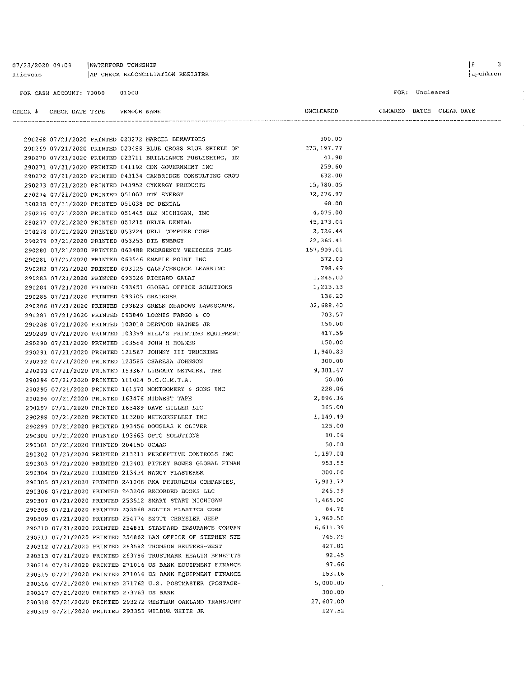| 07/23/2020 09:09        | WATERFORD TOWNSHIP               |
|-------------------------|----------------------------------|
| llievois                | AP CHECK RECONCILIATION REGISTER |
|                         |                                  |
| FOR CASH ACCOUNT: 70000 | 01000                            |

290268 07/21/2020 PRINTED 023272 MARCEL BENAVIDES

FOR: Uncleared

 $\bar{\mathcal{L}}$ 

UNCLEARED

300.00

CLEARED BATCH CLEAR DATE

|                                                    | 290269 07/21/2020 PRINTED 023488 BLUE CROSS BLUE SHIELD OF                                                             | 273, 197.77       |
|----------------------------------------------------|------------------------------------------------------------------------------------------------------------------------|-------------------|
|                                                    | 290270 07/21/2020 PRINTED 023711 BRILLIANCE PUBLISHING, IN                                                             | 41.98             |
|                                                    | 290271 07/21/2020 PRINTED 041192 CDW GOVERNMENT INC                                                                    | 259.60            |
|                                                    | 290272 07/21/2020 PRINTED 043134 CAMBRIDGE CONSULTING GROU                                                             | 632.00            |
| 290273 07/21/2020 PRINTED 043952 CYNERGY PRODUCTS  |                                                                                                                        | 15,780.05         |
| 290274 07/21/2020 PRINTED 051007 DTE ENERGY        |                                                                                                                        | 72,276.97         |
| 290275 07/21/2020 PRINTED 051038 DC DENTAL         |                                                                                                                        | 68.00             |
| 290276 07/21/2020 PRINTED 051445 DLZ MICHIGAN, INC |                                                                                                                        | 4,075.00          |
| 290277 07/21/2020 PRINTED 053215 DELTA DENTAL      |                                                                                                                        | 45, 173.04        |
|                                                    | 290278 07/21/2020 PRINTED 053224 DELL COMPTER CORP                                                                     | 2,726.44          |
| 290279 07/21/2020 PRINTED 053253 DTE ENERGY        |                                                                                                                        | 22, 365.41        |
|                                                    | 290280 07/21/2020 PRINTED 063488 EMERGENCY VEHICLES PLUS                                                               | 157,909.01        |
| 290281 07/21/2020 PRINTED 063546 ENABLE POINT INC  |                                                                                                                        | 572.00            |
|                                                    | 290282 07/21/2020 PRINTED 093025 GALE/CENGAGE LEARNING                                                                 | 798.49            |
| 290283 07/21/2020 PRINTED 093026 RICHARD GALAT     |                                                                                                                        | 1,245.00          |
|                                                    | 290284 07/21/2020 PRINTED 093451 GLOBAL OFFICE SOLUTIONS                                                               | 1,213.13          |
| 290285 07/21/2020 PRINTED 093705 GRAINGER          |                                                                                                                        | 136.20            |
|                                                    | 290286 07/21/2020 PRINTED 093823 GREEN MEADOWS LAWNSCAPE,                                                              | 32,688.40         |
|                                                    | 290287 07/21/2020 PRINTED 093840 LOOMIS FARGO & CO                                                                     | 703.57            |
|                                                    | 290288 07/21/2020 PRINTED 103018 DERWOOD HAINES JR                                                                     | 150.00            |
|                                                    | 290289 07/21/2020 PRINTED 103399 HILL'S PRINTING EQUIPMENT                                                             | 417.59            |
| 290290 07/21/2020 PRINTED 103584 JOHN H HOLMES     |                                                                                                                        | 150.00            |
|                                                    | 290291 07/21/2020 PRINTED 121567 JOHNNY III TRUCKING                                                                   | 1,940.83          |
| 290292 07/21/2020 PRINTED 123585 CHARESA JOHNSON   |                                                                                                                        | 300.00            |
|                                                    | 290293 07/21/2020 PRINTED 153367 LIBRARY NETWORK, THE                                                                  | 9,381.47          |
| 290294 07/21/2020 PRINTED 161024 O.C.C.M.T.A.      |                                                                                                                        | 50.00             |
|                                                    | 290295 07/21/2020 PRINTED 161570 MONTGOMERY & SONS INC                                                                 | 228.06            |
| 290296 07/21/2020 PRINTED 163476 MIDWEST TAPE      |                                                                                                                        | 2,096.36          |
| 290297 07/21/2020 PRINTED 163489 DAVE MILLER LLC   |                                                                                                                        | 365.00            |
| 290298 07/21/2020 PRINTED 183289 NETWORKFLEET INC  |                                                                                                                        | 1,149.49          |
| 290299 07/21/2020 PRINTED 193456 DOUGLAS K OLIVER  |                                                                                                                        | 125.00            |
| 290300 07/21/2020 PRINTED 193663 OPTO SOLUTIONS    |                                                                                                                        | 10.06             |
| 290301 07/21/2020 PRINTED 204150 OCAAO             |                                                                                                                        | 50.00<br>1,197.00 |
|                                                    | 290302 07/21/2020 PRINTED 213211 PERCEPTIVE CONTROLS INC<br>290303 07/21/2020 PRINTED 213401 PITNEY BOWES GLOBAL FINAN | 953.55            |
|                                                    |                                                                                                                        | 300.00            |
| 290304 07/21/2020 PRINTED 213454 NANCY PLASTERER   |                                                                                                                        | 7,913.72          |
|                                                    | 290305 07/21/2020 PRINTED 241008 RKA PETROLEUM COMPANIES,<br>290306 07/21/2020 PRINTED 243206 RECORDED BOOKS LLC       | 245.19            |
|                                                    | 290307 07/21/2020 PRINTED 253512 SMART START MICHIGAN                                                                  | 1,465.00          |
|                                                    | 290308 07/21/2020 PRINTED 253568 SOLTIS PLASTICS CORP                                                                  | 84.78             |
|                                                    | 290309 07/21/2020 PRINTED 254774 SZOTT CHRYSLER JEEP                                                                   | 1,960.50          |
|                                                    | 290310 07/21/2020 PRINTED 254851 STANDARD INSURANCE COMPAN                                                             | 6,611.39          |
|                                                    | 290311 07/21/2020 PRINTED 254862 LAW OFFICE OF STEPHEN STE                                                             | 745.29            |
|                                                    | 290312 07/21/2020 PRINTED 263582 THOMSON REUTERS-WEST                                                                  | 427.81            |
|                                                    | 290313 07/21/2020 PRINTED 263786 TRUSTMARK HEALTH BENEFITS                                                             | 92.45             |
|                                                    | 290314 07/21/2020 PRINTED 271016 US BANK EQUIPMENT FINANCE                                                             | 97.66             |
|                                                    | 290315 07/21/2020 PRINTED 271016 US BANK EQUIPMENT FINANCE                                                             | 153.16            |
|                                                    | 290316 07/21/2020 PRINTED 271762 U.S. POSTMASTER (POSTAGE-                                                             | 5,000.00          |
| 290317 07/21/2020 PRINTED 273763 US BANK           |                                                                                                                        | 300.00            |
|                                                    | 290318 07/21/2020 PRINTED 293272 WESTERN OAKLAND TRANSPORT                                                             | 27,607.00         |
| 290319 07/21/2020 PRINTED 293355 WILBUR WHITE JR   |                                                                                                                        | 127.52            |
|                                                    |                                                                                                                        |                   |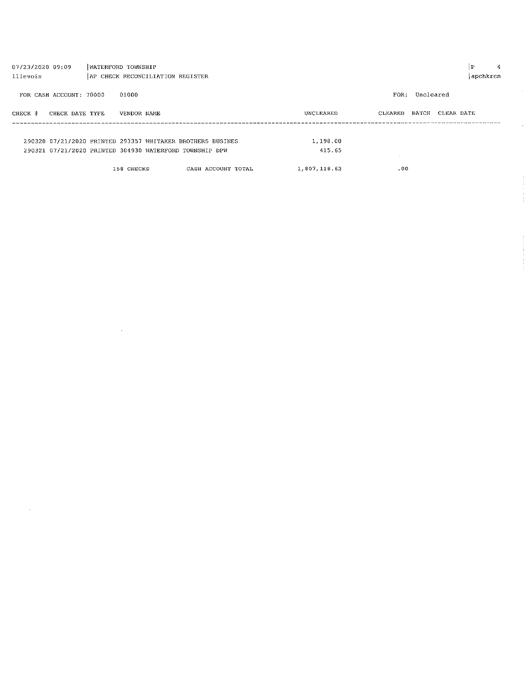| P<br>07/23/2020 09:09<br>WATERFORD TOWNSHIP |                                                            |                    |              |                   |            |  |
|---------------------------------------------|------------------------------------------------------------|--------------------|--------------|-------------------|------------|--|
| llievois                                    | AP CHECK RECONCILIATION REGISTER                           |                    |              |                   | apchkrcn   |  |
|                                             |                                                            |                    |              |                   |            |  |
| FOR CASH ACCOUNT: 70000                     | 01000                                                      |                    |              | Uncleared<br>FOR: |            |  |
|                                             |                                                            |                    |              |                   |            |  |
| CHECK DATE TYPE<br>CHECK #                  | VENDOR NAME                                                |                    | UNCLEARED    | BATCH<br>CLEARED  | CLEAR DATE |  |
|                                             |                                                            |                    |              |                   |            |  |
|                                             |                                                            |                    |              |                   |            |  |
|                                             | 290320 07/21/2020 PRINTED 293357 WHITAKER BROTHERS BUSINES |                    | 1,198.00     |                   |            |  |
|                                             | 290321 07/21/2020 PRINTED 304930 WATERFORD TOWNSHIP DPW    |                    | 415.65       |                   |            |  |
|                                             |                                                            |                    |              |                   |            |  |
|                                             | 158 CHECKS                                                 | CASH ACCOUNT TOTAL | 1,807,118.62 | .00.              |            |  |
|                                             |                                                            |                    |              |                   |            |  |

 $\label{eq:2.1} \mathcal{L}(\mathcal{L}^{\text{max}}_{\mathcal{L}}(\mathcal{L}^{\text{max}}_{\mathcal{L}}(\mathcal{L}^{\text{max}}_{\mathcal{L}}(\mathcal{L}^{\text{max}}_{\mathcal{L}^{\text{max}}_{\mathcal{L}}(\mathcal{L}^{\text{max}}_{\mathcal{L}^{\text{max}}_{\mathcal{L}^{\text{max}}_{\mathcal{L}^{\text{max}}_{\mathcal{L}^{\text{max}}_{\mathcal{L}^{\text{max}}_{\mathcal{L}^{\text{max}}_{\mathcal{L}^{\text{max}}_{\mathcal{L}^{\text{max}}$ 

 $\mathcal{O}(\mathcal{O}_\mathcal{O})$  . The set of  $\mathcal{O}_\mathcal{O}(\mathcal{O}_\mathcal{O})$ 

 $\mathbb{R}$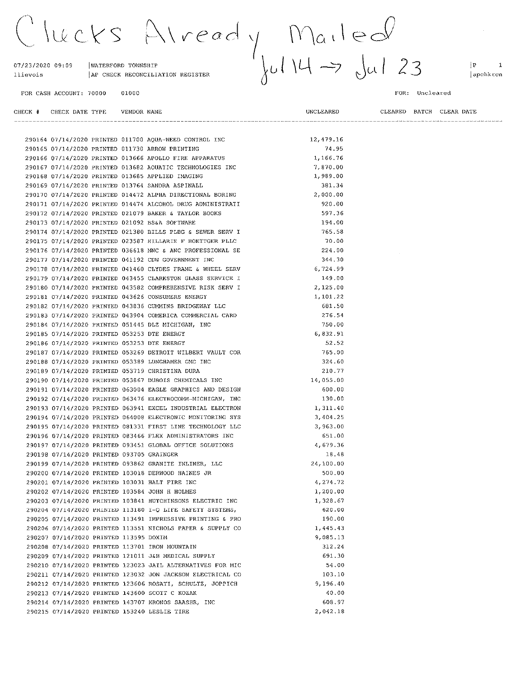$x|$  read  $y$  Mailed<br> $y$  Mailed<br> $y$  Jul 23 lucks

07/23/2020 09:09 WATERFORD TOWNSHIP AP CHECK RECONCILIATION REGISTER llievois

290213 07/14/2020 PRINTED 143600 SCOTT C KOZAK

290215 07/14/2020 PRINTED 153240 LESLIE TIRE

290214 07/14/2020 PRINTED 143707 KRONOS SAASHR, INC

01000

290164 07/14/2020 PRINTED 011700 AQUA-WEED CONTROL INC

UNCLEARED

12,479.16

40.00 608.97

2,042.18

 $|P|$  $\overline{\mathbf{1}}$ apchkrcn

FOR CASH ACCOUNT: 70000

#### FOR: Uncleared

|  |                                           |  | 290165 07/14/2020 PRINTED 011730 ARROW PRINTING            | 74.95     |
|--|-------------------------------------------|--|------------------------------------------------------------|-----------|
|  |                                           |  |                                                            |           |
|  |                                           |  | 290166 07/14/2020 PRINTED 013666 APOLLO FIRE APPARATUS     | 1,166.76  |
|  |                                           |  | 290167 07/14/2020 PRINTED 013682 AQUATIC TECHNOLOGIES INC  | 7,870.00  |
|  |                                           |  | 290168 07/14/2020 PRINTED 013685 APPLIED IMAGING           | 1,989.00  |
|  |                                           |  | 290169 07/14/2020 PRINTED 013764 SANDRA ASPINALL           | 381.34    |
|  |                                           |  | 290170 07/14/2020 PRINTED 014472 ALPHA DIRECTIONAL BORING  | 2,000.00  |
|  |                                           |  | 290171 07/14/2020 PRINTED 014474 ALCOHOL DRUG ADMINISTRATI | 920.00    |
|  |                                           |  | 290172 07/14/2020 PRINTED 021079 BAKER & TAYLOR BOOKS      | 597.36    |
|  |                                           |  | 290173 07/14/2020 PRINTED 021092 BS&A SOFTWARE             | 194.00    |
|  |                                           |  | 290174 07/14/2020 PRINTED 021380 BILLS PLBG & SEWER SERV I | 765.58    |
|  |                                           |  | 290175 07/14/2020 PRINTED 023587 HILLARIE F BOETTGER PLLC  | 70.00     |
|  |                                           |  | 290176 07/14/2020 PRINTED 036618 MNC & ANC PROFESSIONAL SE | 224.00    |
|  |                                           |  | 290177 07/14/2020 PRINTED 041192 CDW GOVERNMENT INC        | 344.30    |
|  |                                           |  | 290178 07/14/2020 PRINTED 041460 CLYDES FRAME & WHEEL SERV | 6,724.99  |
|  |                                           |  | 290179 07/14/2020 PRINTED 043455 CLARKSTON GLASS SERVICE I | 149.00    |
|  |                                           |  | 290180 07/14/2020 PRINTED 043582 COMPREHENSIVE RISK SERV I | 2,125.00  |
|  |                                           |  | 290181 07/14/2020 PRINTED 043626 CONSUMERS ENERGY          | 1,101.22  |
|  |                                           |  | 290182 07/14/2020 PRINTED 043836 CUMMINS BRIDGEWAY LLC     | 681.50    |
|  |                                           |  | 290183 07/14/2020 PRINTED 043904 COMERICA COMMERCIAL CARD  | 276.54    |
|  |                                           |  | 290184 07/14/2020 PRINTED 051445 DLZ MICHIGAN, INC         | 750.00    |
|  |                                           |  | 290185 07/14/2020 PRINTED 053253 DTE ENERGY                | 6,832.91  |
|  |                                           |  | 290186 07/14/2020 PRINTED 053253 DTE ENERGY                | 52.52     |
|  |                                           |  | 290187 07/14/2020 PRINTED 053269 DETROIT WILBERT VAULT COR | 765.00    |
|  |                                           |  | 290188 07/14/2020 PRINTED 053389 LUNGHAMER GMC INC         | 324.60    |
|  |                                           |  | 290189 07/14/2020 PRINTED 053719 CHRISTINA DURA            | 210.77    |
|  |                                           |  |                                                            |           |
|  |                                           |  | 290190 07/14/2020 PRINTED 053867 DUBOIS CHEMICALS INC      | 14,055.00 |
|  |                                           |  | 290191 07/14/2020 PRINTED 063004 EAGLE GRAPHICS AND DESIGN | 600.00    |
|  |                                           |  | 290192 07/14/2020 PRINTED 063476 ELECTROCOMM-MICHIGAN, INC | 130.00    |
|  |                                           |  | 290193 07/14/2020 PRINTED 063941 EXCEL INDUSTRIAL ELECTRON | 1,311.40  |
|  |                                           |  | 290194 07/14/2020 PRINTED 064008 ELECTRONIC MONITORING SYS | 3,404.25  |
|  |                                           |  | 290195 07/14/2020 PRINTED 081331 FIRST LINE TECHNOLOGY LLC | 3,963.00  |
|  |                                           |  | 290196 07/14/2020 PRINTED 083466 FLEX ADMINISTRATORS INC   | 651.00    |
|  |                                           |  | 290197 07/14/2020 PRINTED 093451 GLOBAL OFFICE SOLUTIONS   | 4,679.36  |
|  | 290198 07/14/2020 PRINTED 093705 GRAINGER |  |                                                            | 18.48     |
|  |                                           |  | 290199 07/14/2020 PRINTED 093862 GRANITE INLINER, LLC      | 24,100.00 |
|  |                                           |  | 290200 07/14/2020 PRINTED 103018 DERWOOD HAINES JR         | 500.00    |
|  |                                           |  | 290201 07/14/2020 PRINTED 103031 HALT FIRE INC             | 4,274.72  |
|  |                                           |  | 290202 07/14/2020 PRINTED 103584 JOHN H HOLMES             | 1,200.00  |
|  |                                           |  | 290203 07/14/2020 PRINTED 103841 HUTCHINSONS ELECTRIC INC  | 1,328.67  |
|  |                                           |  | 290204 07/14/2020 PRINTED 113180 I-Q LIFE SAFETY SYSTEMS,  | 620.00    |
|  |                                           |  | 290205 07/14/2020 PRINTED 113491 IMPRESSIVE PRINTING & PRO | 190.00    |
|  |                                           |  | 290206 07/14/2020 PRINTED 113551 NICHOLS PAPER & SUPPLY CO | 1,445.43  |
|  | 290207 07/14/2020 PRINTED 113595 DOXIM    |  |                                                            | 9,085.13  |
|  |                                           |  | 290208 07/14/2020 PRINTED 113701 IRON MOUNTAIN             | 312.24    |
|  |                                           |  | 290209 07/14/2020 PRINTED 121011 J&B MEDICAL SUPPLY        | 691.30    |
|  |                                           |  | 290210 07/14/2020 PRINTED 123023 JAIL ALTERNATIVES FOR MIC | 54.00     |
|  |                                           |  | 290211 07/14/2020 PRINTED 123032 JON JACKSON ELECTRICAL CO | 103.10    |
|  |                                           |  | 290212 07/14/2020 PRINTED 123606 ROSATI, SCHULTZ, JOPPICH  | 9,196.40  |
|  |                                           |  |                                                            |           |

CLEARED BATCH CLEAR DATE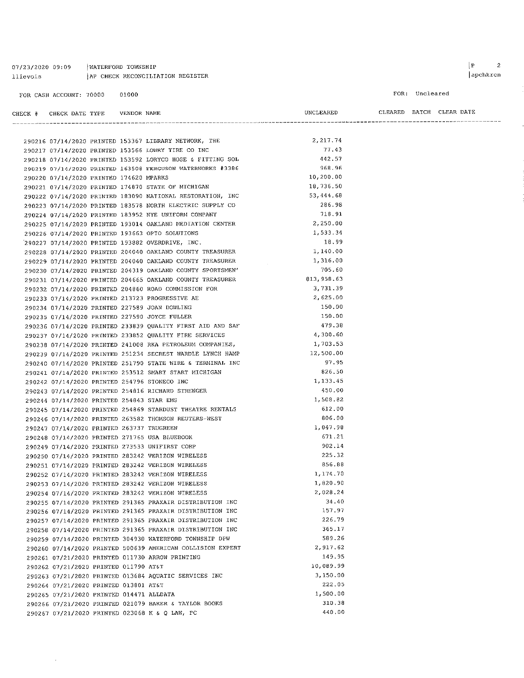07/23/2020 09:09 | WATERFORD TOWNSHIP AP CHECK RECONCILIATION REGISTER llievois

 $\mathcal{A}^{\mathcal{A}}$ 

FOR: Uncleared

| CHECK # CHECK DATE TYPE    VENDOR NAME    |  |                                                            | UNCLEARED  |  | CLEARED BATCH CLEAR DATE |
|-------------------------------------------|--|------------------------------------------------------------|------------|--|--------------------------|
|                                           |  |                                                            |            |  |                          |
|                                           |  | 290216 07/14/2020 PRINTED 153367 LIBRARY NETWORK, THE      | 2, 217.74  |  |                          |
|                                           |  | 290217 07/14/2020 PRINTED 153566 LOWRY TIRE CO INC         | 77,43      |  |                          |
|                                           |  | 290218 07/14/2020 PRINTED 153592 LORYCO HOSE & FITTING SOL | 442.57     |  |                          |
|                                           |  | 290219 07/14/2020 PRINTED 163508 FERGUSON WATERWORKS #3386 | 968.96     |  |                          |
| 290220 07/14/2020 PRINTED 174620 MPARKS   |  |                                                            | 10,200.00  |  |                          |
|                                           |  | 290221 07/14/2020 PRINTED 174870 STATE OF MICHIGAN         | 18,736.50  |  |                          |
|                                           |  | 290222 07/14/2020 PRINTED 183090 NATIONAL RESTORATION, INC | 53,444.68  |  |                          |
|                                           |  | 290223 07/14/2020 PRINTED 183578 NORTH ELECTRIC SUPPLY CO  | 286.98     |  |                          |
|                                           |  | 290224 07/14/2020 PRINTED 183952 NYE UNIFORM COMPANY       | 718.91     |  |                          |
|                                           |  | 290225 07/14/2020 PRINTED 193014 OAKLAND MEDIATION CENTER  | 2,250.00   |  |                          |
|                                           |  | 290226 07/14/2020 PRINTED 193663 OPTO SOLUTIONS            | 1,533.34   |  |                          |
|                                           |  | 290227 07/14/2020 PRINTED 193882 OVERDRIVE, INC.           | 18.99      |  |                          |
|                                           |  | 290228 07/14/2020 PRINTED 204040 OAKLAND COUNTY TREASURER  | 1,140.00   |  |                          |
|                                           |  | 290229 07/14/2020 PRINTED 204040 OAKLAND COUNTY TREASURER  | 1,316.00   |  |                          |
|                                           |  | 290230 07/14/2020 PRINTED 204319 OAKLAND COUNTY SPORTSMEN' | 705.60     |  |                          |
|                                           |  | 290231 07/14/2020 PRINTED 204665 OAKLAND COUNTY TREASURER  | 813,958.63 |  |                          |
|                                           |  | 290232 07/14/2020 PRINTED 204860 ROAD COMMISSION FOR       | 3,731.39   |  |                          |
|                                           |  | 290233 07/14/2020 PRINTED 213723 PROGRESSIVE AE            | 2,625.00   |  |                          |
|                                           |  | 290234 07/14/2020 PRINTED 227589 JOAN DOWLING              | 150.00     |  |                          |
|                                           |  | 290235 07/14/2020 PRINTED 227590 JOYCE FULLER              | 150.00     |  |                          |
|                                           |  | 290236 07/14/2020 PRINTED 233839 QUALITY FIRST AID AND SAF | 479.38     |  |                          |
|                                           |  | 290237 07/14/2020 PRINTED 233852 QUALITY FIRE SERVICES     | 4,300.60   |  |                          |
|                                           |  | 290238 07/14/2020 PRINTED 241008 RKA PETROLEUM COMPANIES,  | 1,703.53   |  |                          |
|                                           |  | 290239 07/14/2020 PRINTED 251234 SECREST WARDLE LYNCH HAMP | 12,500.00  |  |                          |
|                                           |  | 290240 07/14/2020 PRINTED 251790 STATE WIRE & TERMINAL INC | 97.95      |  |                          |
|                                           |  | 290241 07/14/2020 PRINTED 253512 SMART START MICHIGAN      | 826.50     |  |                          |
|                                           |  |                                                            | 1,133.45   |  |                          |
|                                           |  | 290242 07/14/2020 PRINTED 254796 STONECO INC               | 450.00     |  |                          |
|                                           |  | 290243 07/14/2020 PRINTED 254816 RICHARD STRENGER          | 1,508.82   |  |                          |
| 290244 07/14/2020 PRINTED 254843 STAR EMS |  | 290245 07/14/2020 PRINTED 254869 STARDUST THEATRE RENTALS  | 612.00     |  |                          |
|                                           |  |                                                            | 806.00     |  |                          |
|                                           |  | 290246 07/14/2020 PRINTED 263582 THOMSON REUTERS-WEST      | 1,047.98   |  |                          |
| 290247 07/14/2020 PRINTED 263737 TRUGREEN |  |                                                            | 671.21     |  |                          |
|                                           |  | 290248 07/14/2020 PRINTED 271765 USA BLUEBOOK              | 902.14     |  |                          |
|                                           |  | 290249 07/14/2020 PRINTED 273533 UNIFIRST CORP             | 225.32     |  |                          |
|                                           |  | 290250 07/14/2020 PRINTED 283242 VERIZON WIRELESS          |            |  |                          |
|                                           |  | 290251 07/14/2020 PRINTED 283242 VERIZON WIRELESS          | 856.88     |  |                          |
|                                           |  | 290252 07/14/2020 PRINTED 283242 VERIZON WIRELESS          | 1,174.70   |  |                          |
|                                           |  | 290253 07/14/2020 PRINTED 283242 VERIZON WIRELESS          | 1,820.90   |  |                          |
|                                           |  | 290254 07/14/2020 PRINTED 283242 VERIZON WIRELESS          | 2,028.24   |  |                          |
|                                           |  | 290255 07/14/2020 PRINTED 291365 PRAXAIR DISTRIBUTION INC  | 34.40      |  |                          |
|                                           |  | 290256 07/14/2020 PRINTED 291365 PRAXAIR DISTRIBUTION INC  | 157.97     |  |                          |
|                                           |  | 290257 07/14/2020 PRINTED 291365 PRAXAIR DISTRIBUTION INC  | 226.79     |  |                          |
|                                           |  | 290258 07/14/2020 PRINTED 291365 PRAXAIR DISTRIBUTION INC  | 365.17     |  |                          |
|                                           |  | 290259 07/14/2020 PRINTED 304930 WATERFORD TOWNSHIP DPW    | 589.26     |  |                          |
|                                           |  | 290260 07/14/2020 PRINTED 500639 AMERICAN COLLISION EXPERT | 2,917.62   |  |                          |
|                                           |  | 290261 07/21/2020 PRINTED 011730 ARROW PRINTING            | 149.95     |  |                          |
| 290262 07/21/2020 PRINTED 011790 AT&T     |  |                                                            | 10,089.99  |  |                          |
|                                           |  | 290263 07/21/2020 PRINTED 013684 AQUATIC SERVICES INC      | 3,150.00   |  |                          |
| 290264 07/21/2020 PRINTED 013801 AT&T     |  |                                                            | 222.05     |  |                          |
| 290265 07/21/2020 PRINTED 014471 ALLDATA  |  |                                                            | 1,500.00   |  |                          |
|                                           |  | 290266 07/21/2020 PRINTED 021079 BAKER & TAYLOR BOOKS      | 310,38     |  |                          |
|                                           |  | 290267 07/21/2020 PRINTED 023068 K & Q LAW, PC             | 440.00     |  |                          |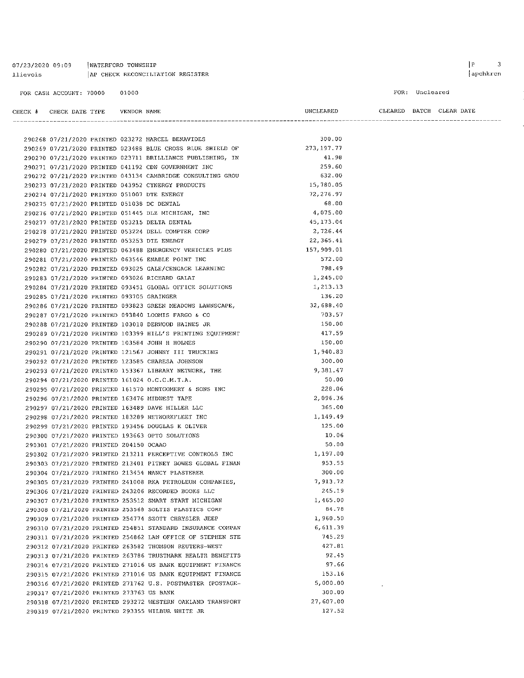| 07/23/2020 09:09        | WATERFORD TOWNSHIP               |
|-------------------------|----------------------------------|
| llievois                | AP CHECK RECONCILIATION REGISTER |
|                         |                                  |
| FOR CASH ACCOUNT: 70000 | 01000                            |

290268 07/21/2020 PRINTED 023272 MARCEL BENAVIDES

FOR: Uncleared

 $\bar{\mathcal{L}}$ 

UNCLEARED

300.00

CLEARED BATCH CLEAR DATE

|                                                    | 290269 07/21/2020 PRINTED 023488 BLUE CROSS BLUE SHIELD OF | 273, 197.77 |
|----------------------------------------------------|------------------------------------------------------------|-------------|
|                                                    | 290270 07/21/2020 PRINTED 023711 BRILLIANCE PUBLISHING, IN | 41.98       |
|                                                    | 290271 07/21/2020 PRINTED 041192 CDW GOVERNMENT INC        | 259.60      |
|                                                    | 290272 07/21/2020 PRINTED 043134 CAMBRIDGE CONSULTING GROU | 632.00      |
| 290273 07/21/2020 PRINTED 043952 CYNERGY PRODUCTS  |                                                            | 15,780.05   |
| 290274 07/21/2020 PRINTED 051007 DTE ENERGY        |                                                            | 72,276.97   |
| 290275 07/21/2020 PRINTED 051038 DC DENTAL         |                                                            | 68.00       |
| 290276 07/21/2020 PRINTED 051445 DLZ MICHIGAN, INC |                                                            | 4,075.00    |
| 290277 07/21/2020 PRINTED 053215 DELTA DENTAL      |                                                            | 45, 173.04  |
| 290278 07/21/2020 PRINTED 053224 DELL COMPTER CORP |                                                            | 2,726.44    |
| 290279 07/21/2020 PRINTED 053253 DTE ENERGY        |                                                            | 22, 365.41  |
|                                                    | 290280 07/21/2020 PRINTED 063488 EMERGENCY VEHICLES PLUS   | 157,909.01  |
| 290281 07/21/2020 PRINTED 063546 ENABLE POINT INC  |                                                            | 572.00      |
|                                                    | 290282 07/21/2020 PRINTED 093025 GALE/CENGAGE LEARNING     | 798.49      |
| 290283 07/21/2020 PRINTED 093026 RICHARD GALAT     |                                                            | 1,245.00    |
|                                                    | 290284 07/21/2020 PRINTED 093451 GLOBAL OFFICE SOLUTIONS   | 1,213.13    |
| 290285 07/21/2020 PRINTED 093705 GRAINGER          |                                                            | 136.20      |
|                                                    | 290286 07/21/2020 PRINTED 093823 GREEN MEADOWS LAWNSCAPE,  | 32,688.40   |
| 290287 07/21/2020 PRINTED 093840 LOOMIS FARGO & CO |                                                            | 703.57      |
| 290288 07/21/2020 PRINTED 103018 DERWOOD HAINES JR |                                                            | 150.00      |
|                                                    | 290289 07/21/2020 PRINTED 103399 HILL'S PRINTING EQUIPMENT | 417.59      |
| 290290 07/21/2020 PRINTED 103584 JOHN H HOLMES     |                                                            | 150.00      |
|                                                    | 290291 07/21/2020 PRINTED 121567 JOHNNY III TRUCKING       | 1,940.83    |
| 290292 07/21/2020 PRINTED 123585 CHARESA JOHNSON   |                                                            | 300.00      |
|                                                    | 290293 07/21/2020 PRINTED 153367 LIBRARY NETWORK, THE      | 9,381.47    |
| 290294 07/21/2020 PRINTED 161024 O.C.C.M.T.A.      |                                                            | 50.00       |
|                                                    | 290295 07/21/2020 PRINTED 161570 MONTGOMERY & SONS INC     | 228.06      |
| 290296 07/21/2020 PRINTED 163476 MIDWEST TAPE      |                                                            | 2,096.36    |
| 290297 07/21/2020 PRINTED 163489 DAVE MILLER LLC   |                                                            | 365.00      |
| 290298 07/21/2020 PRINTED 183289 NETWORKFLEET INC  |                                                            | 1,149.49    |
| 290299 07/21/2020 PRINTED 193456 DOUGLAS K OLIVER  |                                                            | 125.00      |
| 290300 07/21/2020 PRINTED 193663 OPTO SOLUTIONS    |                                                            | 10.06       |
| 290301 07/21/2020 PRINTED 204150 OCAAO             |                                                            | 50.00       |
|                                                    | 290302 07/21/2020 PRINTED 213211 PERCEPTIVE CONTROLS INC   | 1,197.00    |
|                                                    | 290303 07/21/2020 PRINTED 213401 PITNEY BOWES GLOBAL FINAN | 953.55      |
| 290304 07/21/2020 PRINTED 213454 NANCY PLASTERER   |                                                            | 300.00      |
|                                                    | 290305 07/21/2020 PRINTED 241008 RKA PETROLEUM COMPANIES,  | 7,913.72    |
|                                                    | 290306 07/21/2020 PRINTED 243206 RECORDED BOOKS LLC        | 245.19      |
|                                                    | 290307 07/21/2020 PRINTED 253512 SMART START MICHIGAN      | 1,465.00    |
|                                                    | 290308 07/21/2020 PRINTED 253568 SOLTIS PLASTICS CORP      | 84.78       |
|                                                    | 290309 07/21/2020 PRINTED 254774 SZOTT CHRYSLER JEEP       | 1,960.50    |
|                                                    | 290310 07/21/2020 PRINTED 254851 STANDARD INSURANCE COMPAN | 6,611.39    |
|                                                    | 290311 07/21/2020 PRINTED 254862 LAW OFFICE OF STEPHEN STE | 745.29      |
|                                                    | 290312 07/21/2020 PRINTED 263582 THOMSON REUTERS-WEST      | 427.81      |
|                                                    | 290313 07/21/2020 PRINTED 263786 TRUSTMARK HEALTH BENEFITS | 92.45       |
|                                                    | 290314 07/21/2020 PRINTED 271016 US BANK EQUIPMENT FINANCE | 97.66       |
|                                                    | 290315 07/21/2020 PRINTED 271016 US BANK EQUIPMENT FINANCE | 153.16      |
|                                                    | 290316 07/21/2020 PRINTED 271762 U.S. POSTMASTER (POSTAGE- | 5,000.00    |
| 290317 07/21/2020 PRINTED 273763 US BANK           |                                                            | 300.00      |
|                                                    | 290318 07/21/2020 PRINTED 293272 WESTERN OAKLAND TRANSPORT | 27,607.00   |
| 290319 07/21/2020 PRINTED 293355 WILBUR WHITE JR   |                                                            | 127.52      |
|                                                    |                                                            |             |